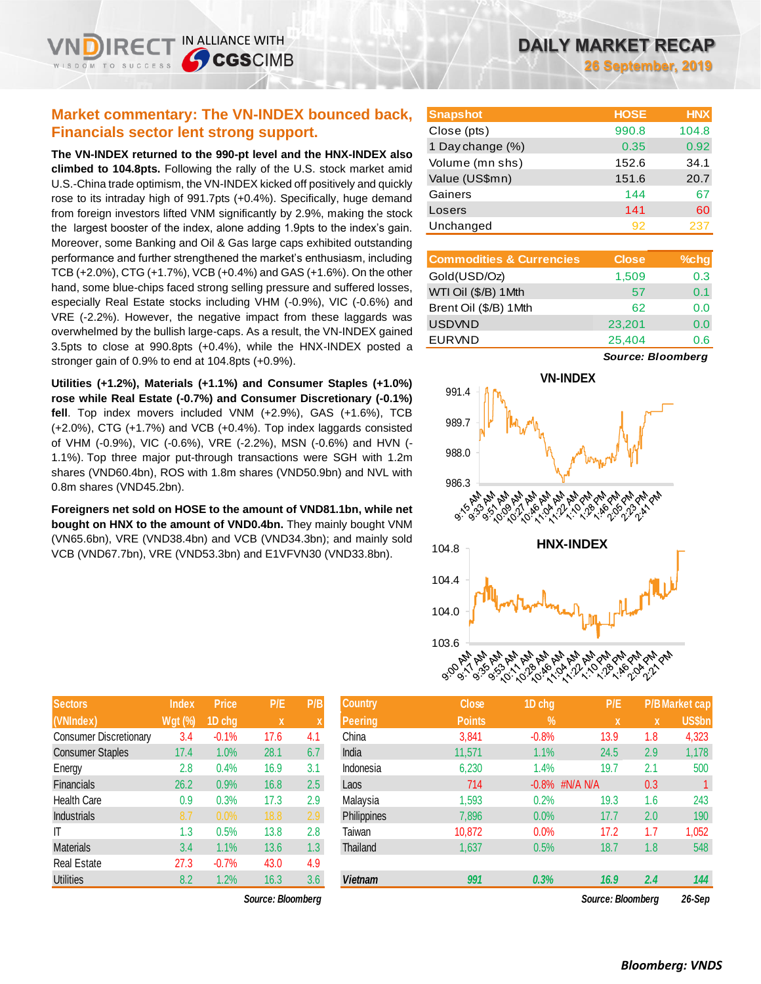# **Market commentary: The VN-INDEX bounced back, Financials sector lent strong support.**

**The VN-INDEX returned to the 990-pt level and the HNX-INDEX also climbed to 104.8pts.** Following the rally of the U.S. stock market amid U.S.-China trade optimism, the VN-INDEX kicked off positively and quickly rose to its intraday high of 991.7pts (+0.4%). Specifically, huge demand from foreign investors lifted VNM significantly by 2.9%, making the stock the largest booster of the index, alone adding 1.9pts to the index's gain. Moreover, some Banking and Oil & Gas large caps exhibited outstanding performance and further strengthened the market's enthusiasm, including TCB (+2.0%), CTG (+1.7%), VCB (+0.4%) and GAS (+1.6%). On the other hand, some blue-chips faced strong selling pressure and suffered losses, especially Real Estate stocks including VHM (-0.9%), VIC (-0.6%) and VRE (-2.2%). However, the negative impact from these laggards was overwhelmed by the bullish large-caps. As a result, the VN-INDEX gained 3.5pts to close at 990.8pts (+0.4%), while the HNX-INDEX posted a stronger gain of 0.9% to end at 104.8pts (+0.9%).

**Utilities (+1.2%), Materials (+1.1%) and Consumer Staples (+1.0%) rose while Real Estate (-0.7%) and Consumer Discretionary (-0.1%) fell**. Top index movers included VNM (+2.9%), GAS (+1.6%), TCB (+2.0%), CTG (+1.7%) and VCB (+0.4%). Top index laggards consisted of VHM (-0.9%), VIC (-0.6%), VRE (-2.2%), MSN (-0.6%) and HVN (- 1.1%). Top three major put-through transactions were SGH with 1.2m shares (VND60.4bn), ROS with 1.8m shares (VND50.9bn) and NVL with 0.8m shares (VND45.2bn).

**Foreigners net sold on HOSE to the amount of VND81.1bn, while net bought on HNX to the amount of VND0.4bn.** They mainly bought VNM (VN65.6bn), VRE (VND38.4bn) and VCB (VND34.3bn); and mainly sold VCB (VND67.7bn), VRE (VND53.3bn) and E1VFVN30 (VND33.8bn).

| <b>Sectors</b>                | <b>Index</b>   | <b>Price</b> | P/E         | P/B |
|-------------------------------|----------------|--------------|-------------|-----|
| (VNIndex)                     | <b>Wgt (%)</b> | 1D chg       | $\mathbf x$ | X   |
| <b>Consumer Discretionary</b> | 3.4            | $-0.1%$      | 17.6        | 4.1 |
| <b>Consumer Staples</b>       | 17.4           | 1.0%         | 28.1        | 6.7 |
| Energy                        | 2.8            | 0.4%         | 16.9        | 3.1 |
| <b>Financials</b>             | 26.2           | 0.9%         | 16.8        | 2.5 |
| <b>Health Care</b>            | 0.9            | 0.3%         | 17.3        | 2.9 |
| <b>Industrials</b>            | 8.7            | 0.0%         | 18.8        | 2.9 |
| IT                            | 1.3            | 0.5%         | 13.8        | 2.8 |
| <b>Materials</b>              | 3.4            | 1.1%         | 13.6        | 1.3 |
| <b>Real Estate</b>            | 27.3           | $-0.7%$      | 43.0        | 4.9 |
| <b>Utilities</b>              | 8.2            | 1.2%         | 16.3        | 3.6 |

*Source: Bloomberg Source: Bloomberg 26-Sep*

# **DAILY MARKET RECAP**

**26 September, 2019**

| <b>Snapshot</b>  | <b>HOSE</b> | <b>HNX</b> |
|------------------|-------------|------------|
| Close (pts)      | 990.8       | 104.8      |
| 1 Day change (%) | 0.35        | 0.92       |
| Volume (mn shs)  | 152.6       | 34.1       |
| Value (US\$mn)   | 151.6       | 20.7       |
| Gainers          | 144         | 67         |
| Losers           | 141         | 60         |
| Unchanged        | 92          | 237        |

| <b>Commodities &amp; Currencies</b> | <b>Close</b> | $%$ chg |
|-------------------------------------|--------------|---------|
| Gold(USD/Oz)                        | 1,509        | 0.3     |
| WTI Oil (\$/B) 1 Mth                | 57           | 0.1     |
| Brent Oil (\$/B) 1Mth               | 62           | 0.0     |
| <b>USDVND</b>                       | 23,201       | 0.0     |
| <b>EURVND</b>                       | 25,404       | 0.6     |

*Source: Bloomberg*



| Sectors                       | Index          | <b>Price</b> | P/E               | P/B.             | <b>Country</b> | Close         | 1D chg            | P/E.              |     | <b>P/B Market cap</b> |
|-------------------------------|----------------|--------------|-------------------|------------------|----------------|---------------|-------------------|-------------------|-----|-----------------------|
| (VNIndex)                     | <b>Wgt (%)</b> | 1D chg       | $\mathbf{x}$      | X                | <b>Peering</b> | <b>Points</b> | $\%$              | $\mathbf{x}$      | X   | <b>US\$bn</b>         |
| <b>Consumer Discretionary</b> | 3.4            | $-0.1%$      | 17.6              | 4.1              | China          | 3,841         | $-0.8%$           | 13.9              | 1.8 | 4,323                 |
| <b>Consumer Staples</b>       | 17.4           | .0%          | 28.1              | 6.7              | India          | 11.571        | 1.1%              | 24.5              | 2.9 | 1,178                 |
| Energy                        | 2.8            | 0.4%         | 16.9              | 3.1              | Indonesia      | 6,230         | 1.4%              | 19.7              | 2.1 | 500                   |
| Financials                    | 26.2           | 0.9%         | 16.8              | 2.5              | Laos           | 714           | $-0.8\%$ #N/A N/A |                   | 0.3 |                       |
| Health Care                   | 0.9            | 0.3%         | 17.3              | 2.9              | Malaysia       | ,593          | 0.2%              | 19.3              | 1.6 | 243                   |
| <b>Industrials</b>            | 8.7            | 0.0%         | 18.8              | 2.9              | Philippines    | 7,896         | 0.0%              | 17.7              | 2.0 | 190                   |
| ΙT                            | 1.3            | 0.5%         | 13.8              | 2.8              | Taiwan         | 10,872        | 0.0%              | 17.2              | 1.7 | 1,052                 |
| Materials                     | 3.4            | $1.1\%$      | 13.6              | 1.3 <sub>2</sub> | Thailand       | 1,637         | 0.5%              | 18.7              | 1.8 | 548                   |
| Real Estate                   | 27.3           | $-0.7%$      | 43.0              | 4.9              |                |               |                   |                   |     |                       |
| <b>Utilities</b>              | 8.2            | $1.2\%$      | 16.3              | 3.6              | <b>Vietnam</b> | 991           | 0.3%              | 16.9              | 2.4 | 144                   |
|                               |                |              | Source: Bloomberg |                  |                |               |                   | Source: Bloomberg |     | 26-Sep                |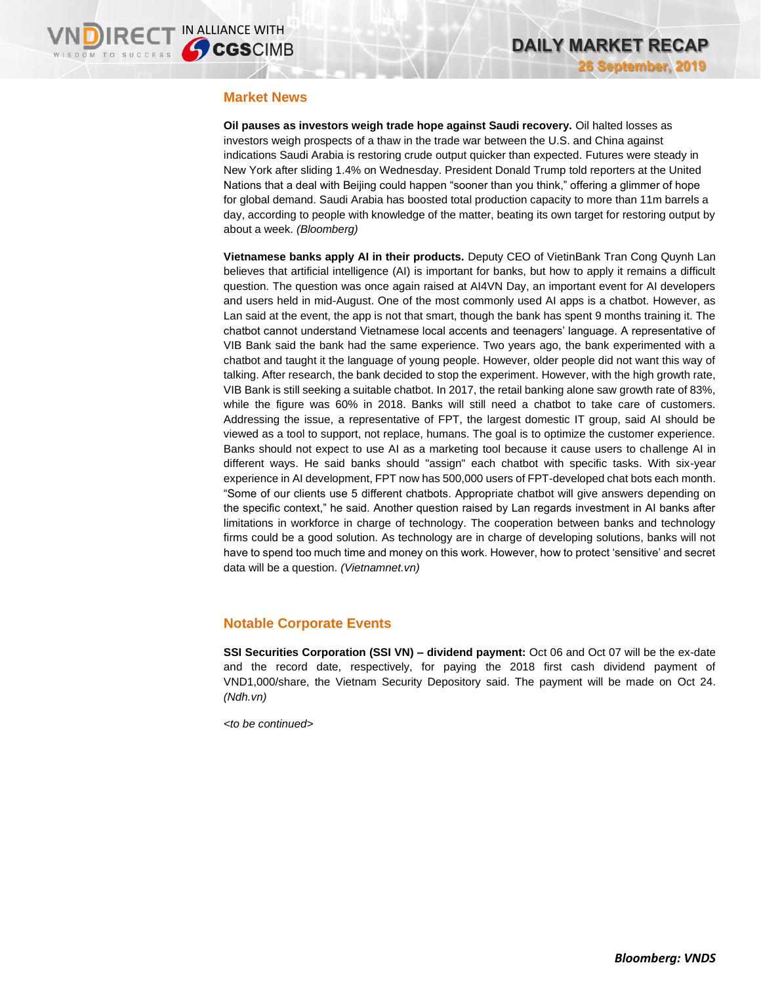#### **Market News**

**Oil pauses as investors weigh trade hope against Saudi recovery.** Oil halted losses as investors weigh prospects of a thaw in the trade war between the U.S. and China against indications Saudi Arabia is restoring crude output quicker than expected. Futures were steady in New York after sliding 1.4% on Wednesday. President Donald Trump told reporters at the United Nations that a deal with Beijing could happen "sooner than you think," offering a glimmer of hope for global demand. Saudi Arabia has boosted total production capacity to more than 11m barrels a day, according to people with knowledge of the matter, beating its own target for restoring output by about a week. *(Bloomberg)*

**Vietnamese banks apply AI in their products.** Deputy CEO of VietinBank Tran Cong Quynh Lan believes that artificial intelligence (AI) is important for banks, but how to apply it remains a difficult question. The question was once again raised at AI4VN Day, an important event for AI developers and users held in mid-August. One of the most commonly used AI apps is a chatbot. However, as Lan said at the event, the app is not that smart, though the bank has spent 9 months training it. The chatbot cannot understand Vietnamese local accents and teenagers' language. A representative of VIB Bank said the bank had the same experience. Two years ago, the bank experimented with a chatbot and taught it the language of young people. However, older people did not want this way of talking. After research, the bank decided to stop the experiment. However, with the high growth rate, VIB Bank is still seeking a suitable chatbot. In 2017, the retail banking alone saw growth rate of 83%, while the figure was 60% in 2018. Banks will still need a chatbot to take care of customers. Addressing the issue, a representative of FPT, the largest domestic IT group, said AI should be viewed as a tool to support, not replace, humans. The goal is to optimize the customer experience. Banks should not expect to use AI as a marketing tool because it cause users to challenge AI in different ways. He said banks should "assign" each chatbot with specific tasks. With six-year experience in AI development, FPT now has 500,000 users of FPT-developed chat bots each month. "Some of our clients use 5 different chatbots. Appropriate chatbot will give answers depending on the specific context," he said. Another question raised by Lan regards investment in AI banks after limitations in workforce in charge of technology. The cooperation between banks and technology firms could be a good solution. As technology are in charge of developing solutions, banks will not have to spend too much time and money on this work. However, how to protect 'sensitive' and secret data will be a question. *(Vietnamnet.vn)*

#### **Notable Corporate Events**

**SSI Securities Corporation (SSI VN) – dividend payment:** Oct 06 and Oct 07 will be the ex-date and the record date, respectively, for paying the 2018 first cash dividend payment of VND1,000/share, the Vietnam Security Depository said. The payment will be made on Oct 24. *(Ndh.vn)*

*<to be continued>*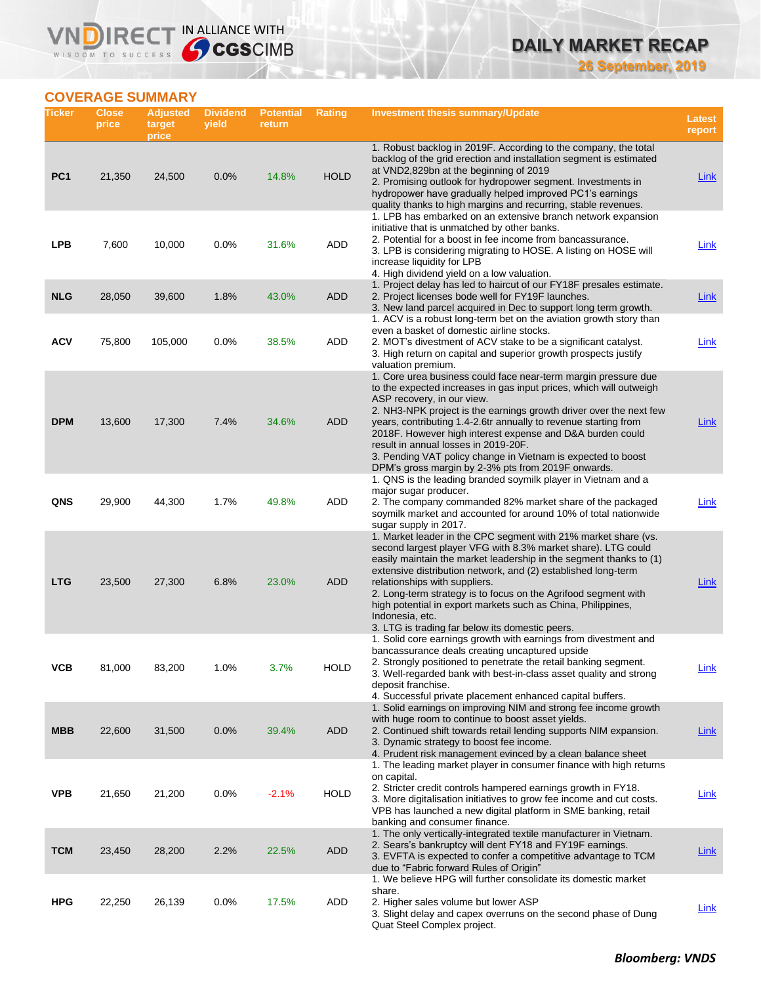**26 September, 2019**

## **COVERAGE SUMMARY**

WISDOM TO SUCCESS

**VNDIRECT IN ALLIANCE WITH** 

| Ticker          | <b>Close</b><br>price | <b>Adjusted</b><br>target<br>price | <b>Dividend</b><br>yield | <b>Potential</b><br>return | <b>Rating</b> | Investment thesis summary/Update                                                                                                                                                                                                                                                                                                                                                                                                                                                                                                       | Latest<br>report |
|-----------------|-----------------------|------------------------------------|--------------------------|----------------------------|---------------|----------------------------------------------------------------------------------------------------------------------------------------------------------------------------------------------------------------------------------------------------------------------------------------------------------------------------------------------------------------------------------------------------------------------------------------------------------------------------------------------------------------------------------------|------------------|
| PC <sub>1</sub> | 21,350                | 24,500                             | 0.0%                     | 14.8%                      | <b>HOLD</b>   | 1. Robust backlog in 2019F. According to the company, the total<br>backlog of the grid erection and installation segment is estimated<br>at VND2,829bn at the beginning of 2019<br>2. Promising outlook for hydropower segment. Investments in<br>hydropower have gradually helped improved PC1's earnings                                                                                                                                                                                                                             | <b>Link</b>      |
| <b>LPB</b>      | 7,600                 | 10,000                             | 0.0%                     | 31.6%                      | ADD           | quality thanks to high margins and recurring, stable revenues.<br>1. LPB has embarked on an extensive branch network expansion<br>initiative that is unmatched by other banks.<br>2. Potential for a boost in fee income from bancassurance.<br>3. LPB is considering migrating to HOSE. A listing on HOSE will<br>increase liquidity for LPB<br>4. High dividend yield on a low valuation.                                                                                                                                            | Link             |
| <b>NLG</b>      | 28,050                | 39,600                             | 1.8%                     | 43.0%                      | <b>ADD</b>    | 1. Project delay has led to haircut of our FY18F presales estimate.<br>2. Project licenses bode well for FY19F launches.<br>3. New land parcel acquired in Dec to support long term growth.                                                                                                                                                                                                                                                                                                                                            | <b>Link</b>      |
| <b>ACV</b>      | 75,800                | 105,000                            | 0.0%                     | 38.5%                      | ADD           | 1. ACV is a robust long-term bet on the aviation growth story than<br>even a basket of domestic airline stocks.<br>2. MOT's divestment of ACV stake to be a significant catalyst.<br>3. High return on capital and superior growth prospects justify<br>valuation premium.                                                                                                                                                                                                                                                             | <b>Link</b>      |
| <b>DPM</b>      | 13,600                | 17,300                             | 7.4%                     | 34.6%                      | <b>ADD</b>    | 1. Core urea business could face near-term margin pressure due<br>to the expected increases in gas input prices, which will outweigh<br>ASP recovery, in our view.<br>2. NH3-NPK project is the earnings growth driver over the next few<br>years, contributing 1.4-2.6tr annually to revenue starting from<br>2018F. However high interest expense and D&A burden could<br>result in annual losses in 2019-20F.<br>3. Pending VAT policy change in Vietnam is expected to boost<br>DPM's gross margin by 2-3% pts from 2019F onwards. | Link             |
| QNS             | 29,900                | 44,300                             | 1.7%                     | 49.8%                      | ADD           | 1. QNS is the leading branded soymilk player in Vietnam and a<br>major sugar producer.<br>2. The company commanded 82% market share of the packaged<br>soymilk market and accounted for around 10% of total nationwide<br>sugar supply in 2017.                                                                                                                                                                                                                                                                                        | Link             |
| <b>LTG</b>      | 23,500                | 27,300                             | 6.8%                     | 23.0%                      | <b>ADD</b>    | 1. Market leader in the CPC segment with 21% market share (vs.<br>second largest player VFG with 8.3% market share). LTG could<br>easily maintain the market leadership in the segment thanks to (1)<br>extensive distribution network, and (2) established long-term<br>relationships with suppliers.<br>2. Long-term strategy is to focus on the Agrifood segment with<br>high potential in export markets such as China, Philippines,<br>Indonesia, etc.<br>3. LTG is trading far below its domestic peers.                         | Link             |
| VCB             | 81,000                | 83,200                             | 1.0%                     | $3.7\%$                    | <b>HOLD</b>   | 1. Solid core earnings growth with earnings from divestment and<br>bancassurance deals creating uncaptured upside<br>2. Strongly positioned to penetrate the retail banking segment.<br>3. Well-regarded bank with best-in-class asset quality and strong<br>deposit franchise.<br>4. Successful private placement enhanced capital buffers.                                                                                                                                                                                           | <u>Link</u>      |
| <b>MBB</b>      | 22,600                | 31,500                             | 0.0%                     | 39.4%                      | <b>ADD</b>    | 1. Solid earnings on improving NIM and strong fee income growth<br>with huge room to continue to boost asset yields.<br>2. Continued shift towards retail lending supports NIM expansion.<br>3. Dynamic strategy to boost fee income.<br>4. Prudent risk management evinced by a clean balance sheet                                                                                                                                                                                                                                   | Link             |
| <b>VPB</b>      | 21,650                | 21,200                             | 0.0%                     | $-2.1%$                    | <b>HOLD</b>   | 1. The leading market player in consumer finance with high returns<br>on capital.<br>2. Stricter credit controls hampered earnings growth in FY18.<br>3. More digitalisation initiatives to grow fee income and cut costs.<br>VPB has launched a new digital platform in SME banking, retail<br>banking and consumer finance.                                                                                                                                                                                                          | <b>Link</b>      |
| <b>TCM</b>      | 23,450                | 28,200                             | 2.2%                     | 22.5%                      | <b>ADD</b>    | 1. The only vertically-integrated textile manufacturer in Vietnam.<br>2. Sears's bankruptcy will dent FY18 and FY19F earnings.<br>3. EVFTA is expected to confer a competitive advantage to TCM<br>due to "Fabric forward Rules of Origin"                                                                                                                                                                                                                                                                                             | <b>Link</b>      |
| <b>HPG</b>      | 22,250                | 26,139                             | 0.0%                     | 17.5%                      | ADD           | 1. We believe HPG will further consolidate its domestic market<br>share.<br>2. Higher sales volume but lower ASP<br>3. Slight delay and capex overruns on the second phase of Dung<br>Quat Steel Complex project.                                                                                                                                                                                                                                                                                                                      | <b>Link</b>      |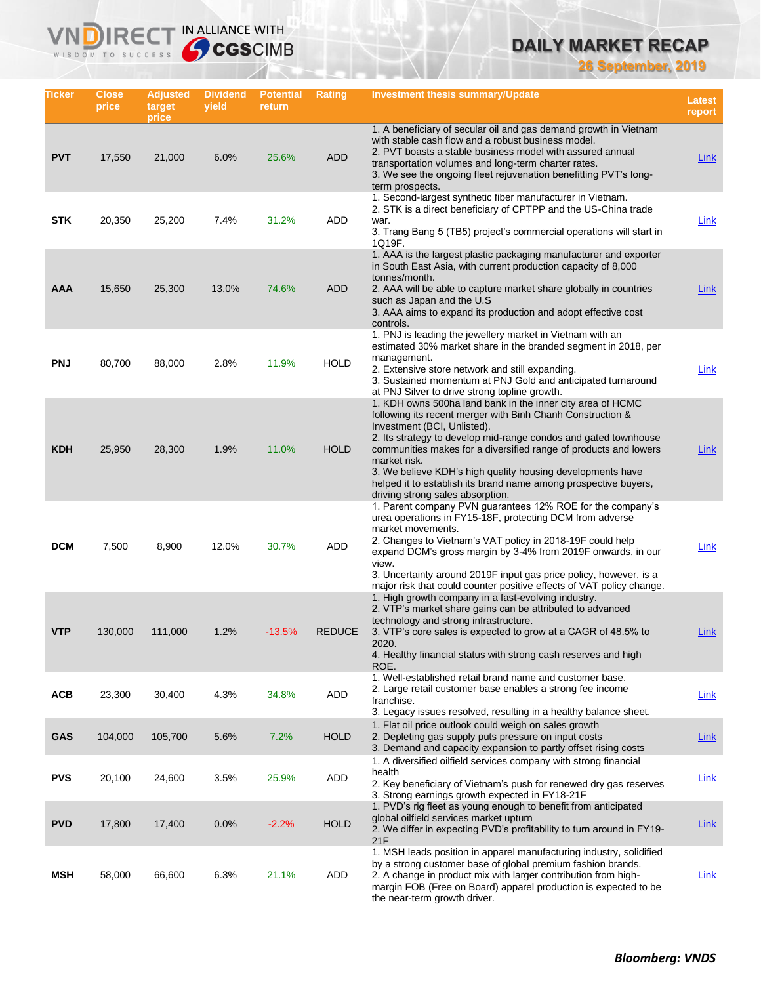**26 September, 2019**

| Ticker     | <b>Close</b><br>price | <b>Adjusted</b><br>target<br>price | <b>Dividend</b><br>yield | <b>Potential</b><br>return | <b>Rating</b> | Investment thesis summary/Update                                                                                                                                                                                                                                                                                                                                                                                                                                                    | <b>Latest</b><br>report |
|------------|-----------------------|------------------------------------|--------------------------|----------------------------|---------------|-------------------------------------------------------------------------------------------------------------------------------------------------------------------------------------------------------------------------------------------------------------------------------------------------------------------------------------------------------------------------------------------------------------------------------------------------------------------------------------|-------------------------|
| <b>PVT</b> | 17,550                | 21,000                             | 6.0%                     | 25.6%                      | <b>ADD</b>    | 1. A beneficiary of secular oil and gas demand growth in Vietnam<br>with stable cash flow and a robust business model.<br>2. PVT boasts a stable business model with assured annual<br>transportation volumes and long-term charter rates.<br>3. We see the ongoing fleet rejuvenation benefitting PVT's long-<br>term prospects.                                                                                                                                                   | Link                    |
| <b>STK</b> | 20,350                | 25,200                             | 7.4%                     | 31.2%                      | ADD           | 1. Second-largest synthetic fiber manufacturer in Vietnam.<br>2. STK is a direct beneficiary of CPTPP and the US-China trade<br>war.<br>3. Trang Bang 5 (TB5) project's commercial operations will start in<br>1Q19F.                                                                                                                                                                                                                                                               | Link                    |
| AAA        | 15,650                | 25,300                             | 13.0%                    | 74.6%                      | <b>ADD</b>    | 1. AAA is the largest plastic packaging manufacturer and exporter<br>in South East Asia, with current production capacity of 8,000<br>tonnes/month.<br>2. AAA will be able to capture market share globally in countries<br>such as Japan and the U.S.<br>3. AAA aims to expand its production and adopt effective cost<br>controls.                                                                                                                                                | Link                    |
| <b>PNJ</b> | 80.700                | 88.000                             | 2.8%                     | 11.9%                      | <b>HOLD</b>   | 1. PNJ is leading the jewellery market in Vietnam with an<br>estimated 30% market share in the branded segment in 2018, per<br>management.<br>2. Extensive store network and still expanding.<br>3. Sustained momentum at PNJ Gold and anticipated turnaround<br>at PNJ Silver to drive strong topline growth.                                                                                                                                                                      | <u>Link</u>             |
| <b>KDH</b> | 25,950                | 28,300                             | 1.9%                     | 11.0%                      | <b>HOLD</b>   | 1. KDH owns 500ha land bank in the inner city area of HCMC<br>following its recent merger with Binh Chanh Construction &<br>Investment (BCI, Unlisted).<br>2. Its strategy to develop mid-range condos and gated townhouse<br>communities makes for a diversified range of products and lowers<br>market risk.<br>3. We believe KDH's high quality housing developments have<br>helped it to establish its brand name among prospective buyers,<br>driving strong sales absorption. | Link                    |
| <b>DCM</b> | 7,500                 | 8,900                              | 12.0%                    | 30.7%                      | ADD           | 1. Parent company PVN guarantees 12% ROE for the company's<br>urea operations in FY15-18F, protecting DCM from adverse<br>market movements.<br>2. Changes to Vietnam's VAT policy in 2018-19F could help<br>expand DCM's gross margin by 3-4% from 2019F onwards, in our<br>view.<br>3. Uncertainty around 2019F input gas price policy, however, is a<br>major risk that could counter positive effects of VAT policy change.                                                      | <u>Link</u>             |
| VTP        | 130,000               | 111,000                            | 1.2%                     | $-13.5%$                   | <b>REDUCE</b> | 1. High growth company in a fast-evolving industry.<br>2. VTP's market share gains can be attributed to advanced<br>technology and strong infrastructure.<br>3. VTP's core sales is expected to grow at a CAGR of 48.5% to<br>2020.<br>4. Healthy financial status with strong cash reserves and high<br>ROE.                                                                                                                                                                       | Link                    |
| <b>ACB</b> | 23,300                | 30,400                             | 4.3%                     | 34.8%                      | ADD           | 1. Well-established retail brand name and customer base.<br>2. Large retail customer base enables a strong fee income<br>franchise.<br>3. Legacy issues resolved, resulting in a healthy balance sheet.                                                                                                                                                                                                                                                                             | <b>Link</b>             |
| <b>GAS</b> | 104,000               | 105,700                            | 5.6%                     | 7.2%                       | <b>HOLD</b>   | 1. Flat oil price outlook could weigh on sales growth<br>2. Depleting gas supply puts pressure on input costs<br>3. Demand and capacity expansion to partly offset rising costs                                                                                                                                                                                                                                                                                                     | <b>Link</b>             |
| <b>PVS</b> | 20,100                | 24,600                             | 3.5%                     | 25.9%                      | ADD           | 1. A diversified oilfield services company with strong financial<br>health<br>2. Key beneficiary of Vietnam's push for renewed dry gas reserves<br>3. Strong earnings growth expected in FY18-21F                                                                                                                                                                                                                                                                                   | <b>Link</b>             |
| <b>PVD</b> | 17,800                | 17,400                             | 0.0%                     | $-2.2%$                    | <b>HOLD</b>   | 1. PVD's rig fleet as young enough to benefit from anticipated<br>global oilfield services market upturn<br>2. We differ in expecting PVD's profitability to turn around in FY19-<br>21F                                                                                                                                                                                                                                                                                            | <u>Link</u>             |
| MSH        | 58,000                | 66,600                             | 6.3%                     | 21.1%                      | ADD           | 1. MSH leads position in apparel manufacturing industry, solidified<br>by a strong customer base of global premium fashion brands.<br>2. A change in product mix with larger contribution from high-<br>margin FOB (Free on Board) apparel production is expected to be<br>the near-term growth driver.                                                                                                                                                                             | Link                    |

**VNDIRECT IN ALLIANCE WITH** 

WISDOM TO SUCCESS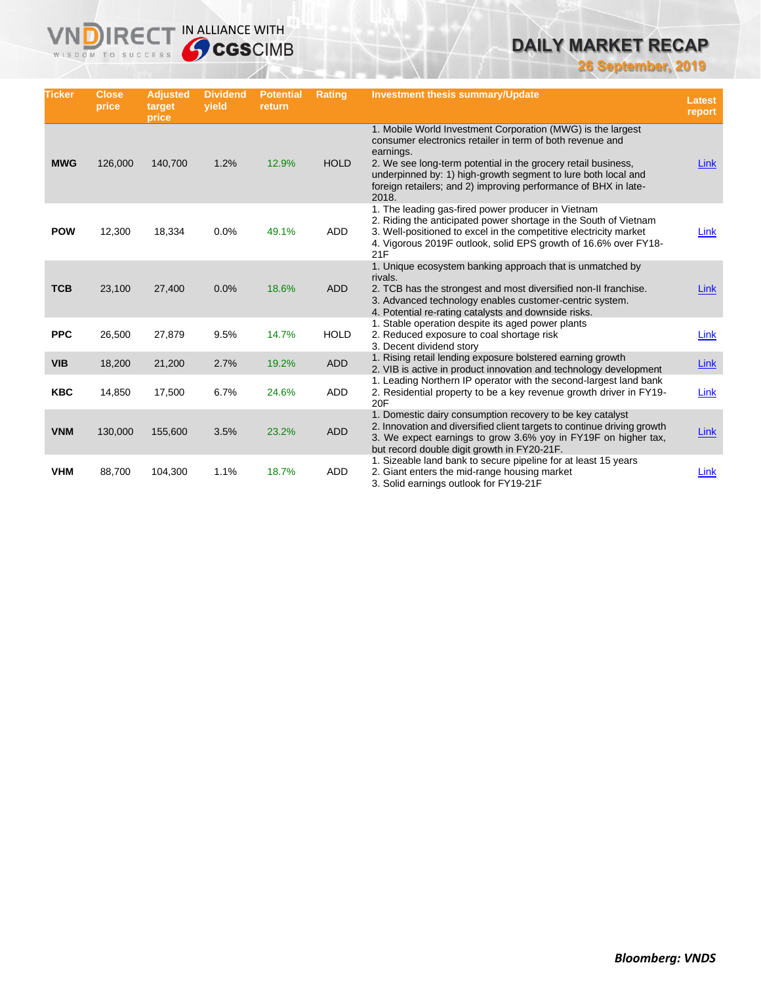**26 September, 2019**

| <b>Ticker</b> | <b>Close</b><br>price | <b>Adjusted</b><br>target<br>price | <b>Dividend</b><br>vield | <b>Potential</b><br>return | <b>Rating</b> | <b>Investment thesis summary/Update</b>                                                                                                                                                                                                                                                                                                             | <b>Latest</b><br>report |
|---------------|-----------------------|------------------------------------|--------------------------|----------------------------|---------------|-----------------------------------------------------------------------------------------------------------------------------------------------------------------------------------------------------------------------------------------------------------------------------------------------------------------------------------------------------|-------------------------|
| <b>MWG</b>    | 126,000               | 140,700                            | 1.2%                     | 12.9%                      | <b>HOLD</b>   | 1. Mobile World Investment Corporation (MWG) is the largest<br>consumer electronics retailer in term of both revenue and<br>earnings.<br>2. We see long-term potential in the grocery retail business,<br>underpinned by: 1) high-growth segment to lure both local and<br>foreign retailers; and 2) improving performance of BHX in late-<br>2018. | Link                    |
| <b>POW</b>    | 12,300                | 18,334                             | 0.0%                     | 49.1%                      | ADD           | 1. The leading gas-fired power producer in Vietnam<br>2. Riding the anticipated power shortage in the South of Vietnam<br>3. Well-positioned to excel in the competitive electricity market<br>4. Vigorous 2019F outlook, solid EPS growth of 16.6% over FY18-<br>21F                                                                               | Link                    |
| <b>TCB</b>    | 23.100                | 27,400                             | 0.0%                     | 18.6%                      | <b>ADD</b>    | 1. Unique ecosystem banking approach that is unmatched by<br>rivals.<br>2. TCB has the strongest and most diversified non-II franchise.<br>3. Advanced technology enables customer-centric system.<br>4. Potential re-rating catalysts and downside risks.                                                                                          | Link                    |
| <b>PPC</b>    | 26,500                | 27,879                             | 9.5%                     | 14.7%                      | <b>HOLD</b>   | 1. Stable operation despite its aged power plants<br>2. Reduced exposure to coal shortage risk<br>3. Decent dividend story                                                                                                                                                                                                                          | Link                    |
| <b>VIB</b>    | 18,200                | 21,200                             | 2.7%                     | 19.2%                      | <b>ADD</b>    | 1. Rising retail lending exposure bolstered earning growth<br>2. VIB is active in product innovation and technology development                                                                                                                                                                                                                     | Link                    |
| <b>KBC</b>    | 14,850                | 17,500                             | 6.7%                     | 24.6%                      | <b>ADD</b>    | 1. Leading Northern IP operator with the second-largest land bank<br>2. Residential property to be a key revenue growth driver in FY19-<br>20F                                                                                                                                                                                                      | Link                    |
| <b>VNM</b>    | 130,000               | 155,600                            | 3.5%                     | 23.2%                      | <b>ADD</b>    | 1. Domestic dairy consumption recovery to be key catalyst<br>2. Innovation and diversified client targets to continue driving growth<br>3. We expect earnings to grow 3.6% yoy in FY19F on higher tax,<br>but record double digit growth in FY20-21F.                                                                                               | Link                    |
| <b>VHM</b>    | 88,700                | 104,300                            | 1.1%                     | 18.7%                      | ADD           | 1. Sizeable land bank to secure pipeline for at least 15 years<br>2. Giant enters the mid-range housing market<br>3. Solid earnings outlook for FY19-21F                                                                                                                                                                                            | Link                    |

**VNDIRECT IN ALLIANCE WITH**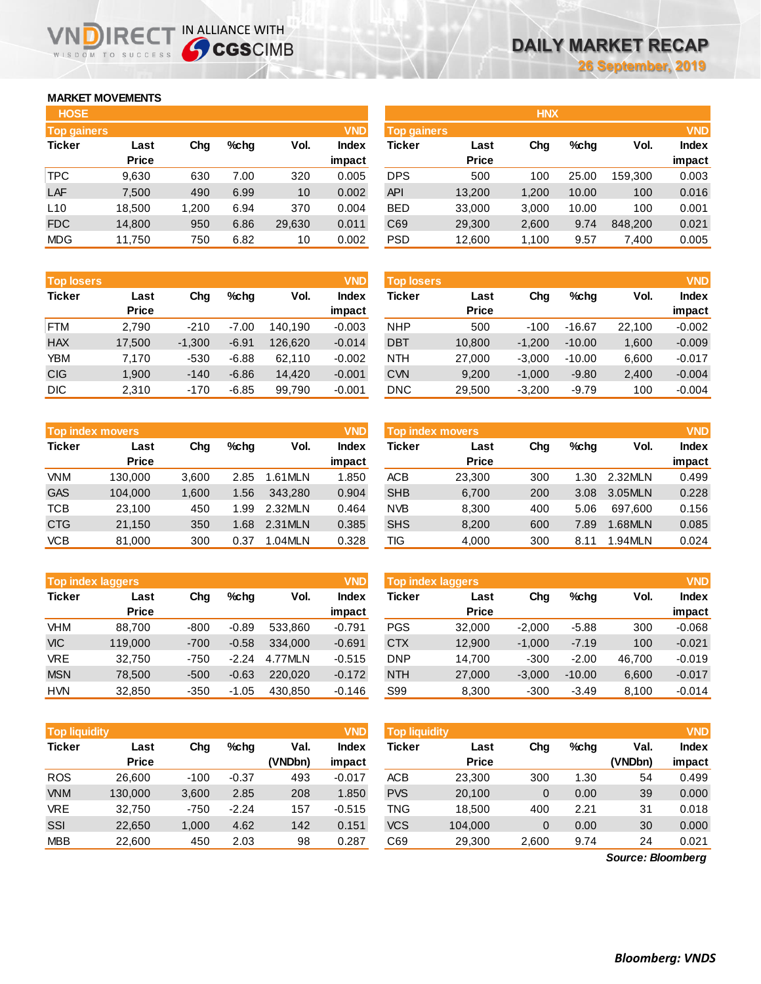### **MARKET MOVEMENTS**

WISDOM TO SUCCESS

ND

| <b>HOSE</b>        |              |       |         |        |            | <b>HNX</b>         |              |       |         |         |            |
|--------------------|--------------|-------|---------|--------|------------|--------------------|--------------|-------|---------|---------|------------|
| <b>Top gainers</b> |              |       |         |        | <b>VND</b> | <b>Top gainers</b> |              |       |         |         | <b>VND</b> |
| <b>Ticker</b>      | Last         | Chg   | $%$ chq | Vol.   | Index      | <b>Ticker</b>      | Last         | Chg   | $%$ chg | Vol.    | Index      |
|                    | <b>Price</b> |       |         |        | impact     |                    | <b>Price</b> |       |         |         | impact     |
| <b>TPC</b>         | 9,630        | 630   | 7.00    | 320    | 0.005      | <b>DPS</b>         | 500          | 100   | 25.00   | 159,300 | 0.003      |
| LAF                | 7,500        | 490   | 6.99    | 10     | 0.002      | <b>API</b>         | 13,200       | 1,200 | 10.00   | 100     | 0.016      |
| L10                | 18,500       | 1,200 | 6.94    | 370    | 0.004      | <b>BED</b>         | 33,000       | 3,000 | 10.00   | 100     | 0.001      |
| <b>FDC</b>         | 14,800       | 950   | 6.86    | 29,630 | 0.011      | C69                | 29,300       | 2,600 | 9.74    | 848,200 | 0.021      |
| <b>MDG</b>         | 11,750       | 750   | 6.82    | 10     | 0.002      | <b>PSD</b>         | 12,600       | 1,100 | 9.57    | 7,400   | 0.005      |
|                    |              |       |         |        |            |                    |              |       |         |         |            |

**IRECT IN ALLIANCE WITH** 

| <b>Top losers</b> |              |          |         |         | <b>VND</b> | <b>Top losers</b> |              |          |          |        |          |
|-------------------|--------------|----------|---------|---------|------------|-------------------|--------------|----------|----------|--------|----------|
| <b>Ticker</b>     | Last         | Chg      | $%$ chq | Vol.    | Index      | <b>Ticker</b>     | Last         | Chg      | $%$ chq  | Vol.   | Index    |
|                   | <b>Price</b> |          |         |         | impact     |                   | <b>Price</b> |          |          |        | impact   |
| <b>FTM</b>        | 2,790        | $-210$   | $-7.00$ | 140.190 | $-0.003$   | <b>NHP</b>        | 500          | $-100$   | $-16.67$ | 22,100 | $-0.002$ |
| <b>HAX</b>        | 17,500       | $-1,300$ | $-6.91$ | 126,620 | $-0.014$   | <b>DBT</b>        | 10,800       | $-1,200$ | $-10.00$ | 1,600  | $-0.009$ |
| YBM               | 7,170        | $-530$   | $-6.88$ | 62,110  | $-0.002$   | <b>NTH</b>        | 27,000       | $-3,000$ | $-10.00$ | 6,600  | $-0.017$ |
| <b>CIG</b>        | 1,900        | $-140$   | $-6.86$ | 14,420  | $-0.001$   | <b>CVN</b>        | 9.200        | $-1.000$ | $-9.80$  | 2,400  | $-0.004$ |
| <b>DIC</b>        | 2.310        | $-170$   | $-6.85$ | 99.790  | $-0.001$   | <b>DNC</b>        | 29.500       | $-3.200$ | $-9.79$  | 100    | $-0.004$ |

|               | <b>Top index movers</b> |       |      |         |              |  |  |  |  |  |  |  |
|---------------|-------------------------|-------|------|---------|--------------|--|--|--|--|--|--|--|
| <b>Ticker</b> | Last                    | Cha   | %chq | Vol.    | <b>Index</b> |  |  |  |  |  |  |  |
|               | <b>Price</b>            |       |      |         | impact       |  |  |  |  |  |  |  |
| <b>VNM</b>    | 130,000                 | 3,600 | 2.85 | 1.61MLN | 1.850        |  |  |  |  |  |  |  |
| <b>GAS</b>    | 104,000                 | 1,600 | 1.56 | 343,280 | 0.904        |  |  |  |  |  |  |  |
| <b>TCB</b>    | 23,100                  | 450   | 1.99 | 2.32MLN | 0.464        |  |  |  |  |  |  |  |
| <b>CTG</b>    | 21,150                  | 350   | 1.68 | 2.31MLN | 0.385        |  |  |  |  |  |  |  |
| <b>VCB</b>    | 81,000                  | 300   | 0.37 | 1.04MLN | 0.328        |  |  |  |  |  |  |  |

|               |              |        |         | <b>VND</b><br><b>Top index laggers</b> |          |  |  |  |  |  |  |  |  |  |  |  |
|---------------|--------------|--------|---------|----------------------------------------|----------|--|--|--|--|--|--|--|--|--|--|--|
| <b>Ticker</b> | Last         | Cha    | %chq    | Vol.<br><b>Index</b>                   |          |  |  |  |  |  |  |  |  |  |  |  |
|               | <b>Price</b> |        |         |                                        | impact   |  |  |  |  |  |  |  |  |  |  |  |
| <b>VHM</b>    | 88,700       | $-800$ | $-0.89$ | 533,860                                | $-0.791$ |  |  |  |  |  |  |  |  |  |  |  |
| <b>VIC</b>    | 119,000      | $-700$ | $-0.58$ | 334.000                                | $-0.691$ |  |  |  |  |  |  |  |  |  |  |  |
| VRE           | 32,750       | $-750$ | $-2.24$ | 4.77MLN                                | $-0.515$ |  |  |  |  |  |  |  |  |  |  |  |
| <b>MSN</b>    | 78,500       | $-500$ | $-0.63$ | 220.020                                | $-0.172$ |  |  |  |  |  |  |  |  |  |  |  |
| <b>HVN</b>    | 32,850       | $-350$ | $-1.05$ | 430,850                                | $-0.146$ |  |  |  |  |  |  |  |  |  |  |  |

| <b>HOSE</b>        |              |       |         |        |              |                    | <b>HNX</b>   |       |       |         |              |  |
|--------------------|--------------|-------|---------|--------|--------------|--------------------|--------------|-------|-------|---------|--------------|--|
| <b>Top gainers</b> |              |       |         |        | <b>VND</b>   | <b>Top gainers</b> |              |       |       |         | <b>VND</b>   |  |
| Ticker             | Last         | Chg   | $%$ chq | Vol.   | <b>Index</b> | Ticker             | Last         | Chg   | %chq  | Vol.    | <b>Index</b> |  |
|                    | <b>Price</b> |       |         |        | impact       |                    | <b>Price</b> |       |       |         | impact       |  |
| <b>TPC</b>         | 9,630        | 630   | 7.00    | 320    | 0.005        | <b>DPS</b>         | 500          | 100   | 25.00 | 159.300 | 0.003        |  |
| LAF                | 7,500        | 490   | 6.99    | 10     | 0.002        | <b>API</b>         | 13,200       | 1,200 | 10.00 | 100     | 0.016        |  |
| L10                | 18.500       | 1.200 | 6.94    | 370    | 0.004        | <b>BED</b>         | 33,000       | 3,000 | 10.00 | 100     | 0.001        |  |
| <b>FDC</b>         | 14,800       | 950   | 6.86    | 29,630 | 0.011        | C69                | 29,300       | 2,600 | 9.74  | 848,200 | 0.021        |  |
| <b>MDG</b>         | 11,750       | 750   | 6.82    | 10     | 0.002        | <b>PSD</b>         | 12,600       | 1,100 | 9.57  | 7,400   | 0.005        |  |

| <b>Top losers</b> |              |          |          |        | <b>VND</b> |
|-------------------|--------------|----------|----------|--------|------------|
| <b>Ticker</b>     | Last         | Cha      | %chq     | Vol.   | Index      |
|                   | <b>Price</b> |          |          |        | impact     |
| <b>NHP</b>        | 500          | $-100$   | $-16.67$ | 22,100 | $-0.002$   |
| <b>DBT</b>        | 10,800       | $-1,200$ | $-10.00$ | 1,600  | $-0.009$   |
| <b>NTH</b>        | 27,000       | $-3,000$ | $-10.00$ | 6,600  | $-0.017$   |
| <b>CVN</b>        | 9,200        | $-1,000$ | $-9.80$  | 2,400  | $-0.004$   |
| <b>DNC</b>        | 29,500       | $-3,200$ | $-9.79$  | 100    | $-0.004$   |

| <b>VND</b><br><b>Top index movers</b> |              |       |         |         |        | Top index movers |              |     |         |         |              |
|---------------------------------------|--------------|-------|---------|---------|--------|------------------|--------------|-----|---------|---------|--------------|
| Ticker                                | Last         | Cha   | $%$ chq | Vol.    | Index  | Ticker           | Last         | Chg | $%$ chq | Vol.    | <b>Index</b> |
|                                       | <b>Price</b> |       |         |         | impact |                  | <b>Price</b> |     |         |         | impact       |
| <b>VNM</b>                            | 130,000      | 3.600 | 2.85    | 1.61MLN | 1.850  | <b>ACB</b>       | 23.300       | 300 | 1.30    | 2.32MLN | 0.499        |
| <b>GAS</b>                            | 104,000      | 1.600 | 1.56    | 343.280 | 0.904  | <b>SHB</b>       | 6,700        | 200 | 3.08    | 3.05MLN | 0.228        |
| TCB                                   | 23.100       | 450   | 1.99    | 2.32MLN | 0.464  | <b>NVB</b>       | 8.300        | 400 | 5.06    | 697.600 | 0.156        |
| <b>CTG</b>                            | 21.150       | 350   | 1.68    | 2.31MLN | 0.385  | <b>SHS</b>       | 8,200        | 600 | 7.89    | 1.68MLN | 0.085        |
| <b>VCB</b>                            | 81,000       | 300   | 0.37    | 1.04MLN | 0.328  | TIG              | 4,000        | 300 | 8.11    | .94MLN  | 0.024        |

|            | <b>Top index laggers</b> |        |         |         | <b>VND</b>   | <b>Top index laggers</b> |              | <b>VND</b> |          |        |              |
|------------|--------------------------|--------|---------|---------|--------------|--------------------------|--------------|------------|----------|--------|--------------|
| Ticker     | Last                     | Chg    | $%$ chq | Vol.    | <b>Index</b> | Ticker                   | Last         | Chg        | $%$ chq  | Vol.   | <b>Index</b> |
|            | <b>Price</b>             |        |         |         | impact       |                          | <b>Price</b> |            |          |        | impact       |
| VHM        | 88.700                   | $-800$ | $-0.89$ | 533.860 | $-0.791$     | <b>PGS</b>               | 32,000       | $-2.000$   | $-5.88$  | 300    | $-0.068$     |
| <b>VIC</b> | 119,000                  | $-700$ | $-0.58$ | 334.000 | $-0.691$     | <b>CTX</b>               | 12.900       | $-1.000$   | $-7.19$  | 100    | $-0.021$     |
| <b>VRE</b> | 32.750                   | $-750$ | $-2.24$ | 4.77MLN | $-0.515$     | <b>DNP</b>               | 14.700       | $-300$     | $-2.00$  | 46.700 | $-0.019$     |
| <b>MSN</b> | 78,500                   | $-500$ | $-0.63$ | 220,020 | $-0.172$     | <b>NTH</b>               | 27,000       | $-3.000$   | $-10.00$ | 6,600  | $-0.017$     |
| <b>HVN</b> | 32,850                   | $-350$ | $-1.05$ | 430.850 | $-0.146$     | S99                      | 8,300        | $-300$     | $-3.49$  | 8.100  | $-0.014$     |

| <b>VND</b><br><b>Top liquidity</b> |              |        |         |         |              | <b>Top liquidity</b> |              |       |         |                   |              |
|------------------------------------|--------------|--------|---------|---------|--------------|----------------------|--------------|-------|---------|-------------------|--------------|
| <b>Ticker</b>                      | Last         | Chg    | $%$ chg | Val.    | <b>Index</b> | <b>Ticker</b>        | Last         | Chg   | $%$ chg | Val.              | <b>Index</b> |
|                                    | <b>Price</b> |        |         | (VNDbn) | impact       |                      | <b>Price</b> |       |         | (VNDbn)           | impact       |
| <b>ROS</b>                         | 26,600       | $-100$ | $-0.37$ | 493     | $-0.017$     | ACB                  | 23,300       | 300   | 1.30    | 54                | 0.499        |
| <b>VNM</b>                         | 130,000      | 3,600  | 2.85    | 208     | 1.850        | <b>PVS</b>           | 20,100       | 0     | 0.00    | 39                | 0.000        |
| <b>VRE</b>                         | 32,750       | $-750$ | $-2.24$ | 157     | $-0.515$     | TNG                  | 18.500       | 400   | 2.21    | 31                | 0.018        |
| SSI                                | 22,650       | 1,000  | 4.62    | 142     | 0.151        | <b>VCS</b>           | 104,000      | 0     | 0.00    | 30                | 0.000        |
| <b>MBB</b>                         | 22,600       | 450    | 2.03    | 98      | 0.287        | C69                  | 29,300       | 2,600 | 9.74    | 24                | 0.021        |
|                                    |              |        |         |         |              |                      |              |       |         | Source: Bloomberg |              |

*Source: Bloomberg*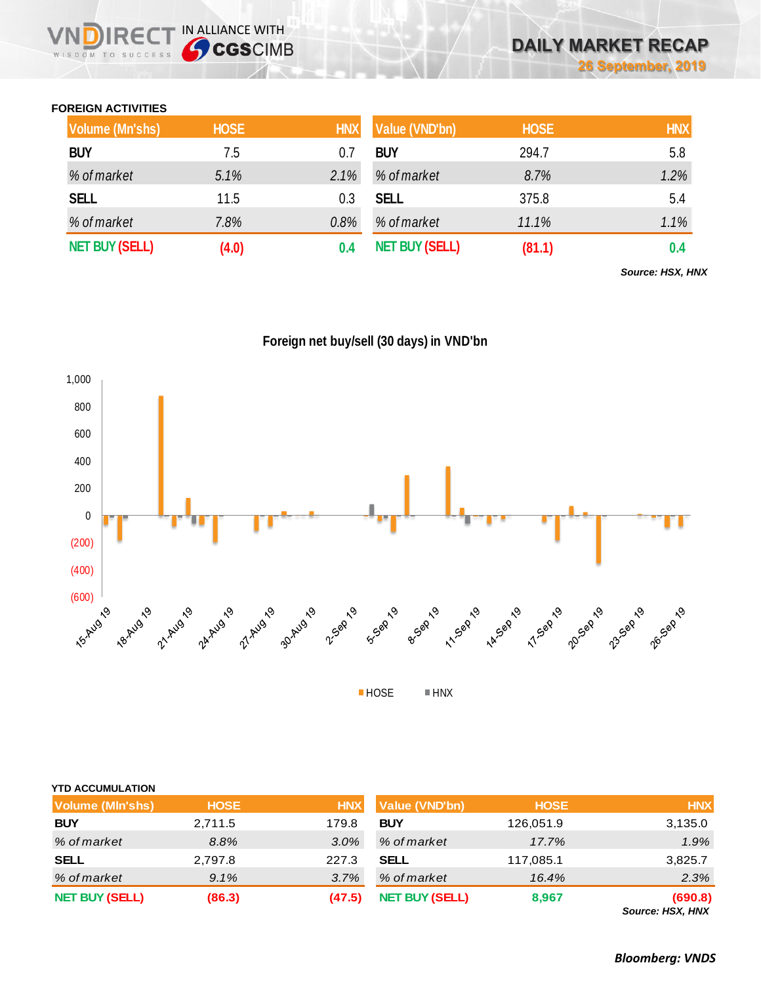### **FOREIGN ACTIVITIES**

WISDOM TO SUCCESS

 $R \in C$ 

IN ALLIANCE WITH

| Volume (Mn'shs)       | <b>HOSE</b> | <b>HNX</b> | <b>Value (VND'bn)</b> | <b>HOSE</b> | <b>HNX</b> |
|-----------------------|-------------|------------|-----------------------|-------------|------------|
| <b>BUY</b>            | 7.5         |            | <b>BUY</b>            | 294.7       | 5.8        |
| % of market           | 5.1%        | 2.1%       | % of market           | 8.7%        | 1.2%       |
| <b>SELL</b>           | 11.5        | 0.3        | <b>SELL</b>           | 375.8       | 5.4        |
| % of market           | 7.8%        | 0.8%       | % of market           | 11.1%       | 1.1%       |
| <b>NET BUY (SELL)</b> | (4.0)       |            | <b>NET BUY (SELL)</b> | (81.1)      | 0.4        |

*Source: HSX, HNX*





| <b>Volume (MIn'shs)</b> | <b>HOSE</b> | <b>HNX</b> | Value (VND'bn)        | <b>HOSE</b> | <b>HNX</b>                  |
|-------------------------|-------------|------------|-----------------------|-------------|-----------------------------|
| <b>BUY</b>              | 2,711.5     | 179.8      | <b>BUY</b>            | 126,051.9   | 3,135.0                     |
| % of market             | 8.8%        | $3.0\%$    | % of market           | 17.7%       | 1.9%                        |
| <b>SELL</b>             | 2,797.8     | 227.3      | <b>SELL</b>           | 117,085.1   | 3,825.7                     |
| % of market             | 9.1%        | 3.7%       | % of market           | 16.4%       | 2.3%                        |
| <b>NET BUY (SELL)</b>   | (86.3)      | (47.5)     | <b>NET BUY (SELL)</b> | 8,967       | (690.8)<br>Source: HSX, HNX |

*Bloomberg: VNDS*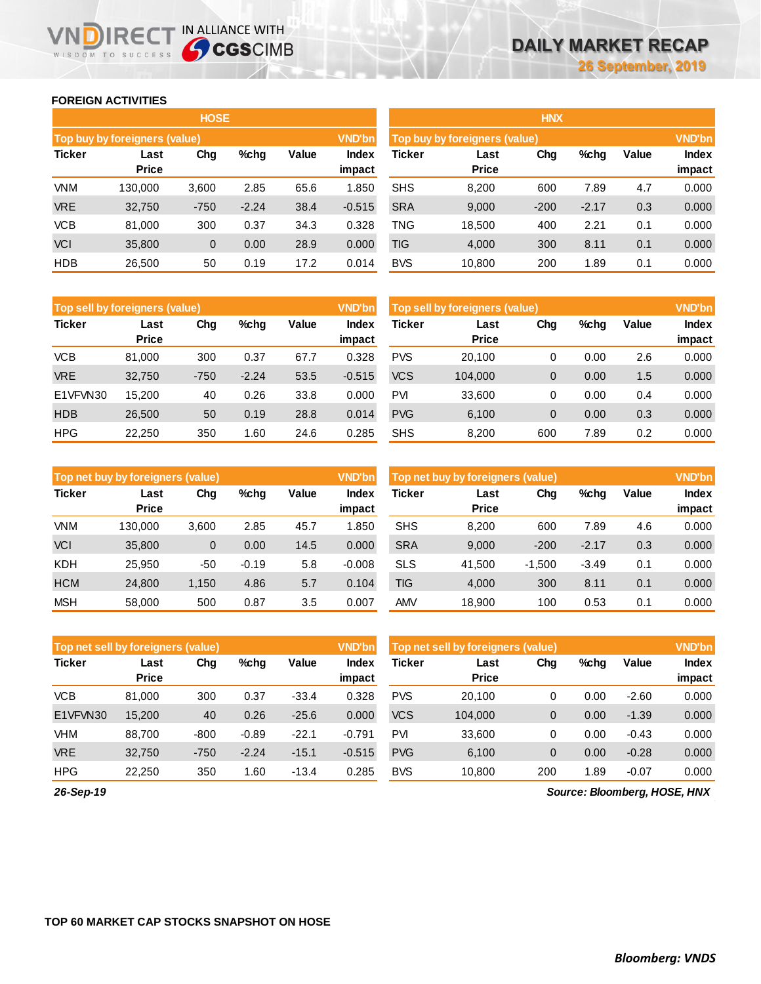#### **FOREIGN ACTIVITIES**

WISDOM TO SUCCESS

n

|               |                               | <b>HOSE</b>  |         |       |                        | <b>HNX</b>                    |                      |               |         |       |                 |  |
|---------------|-------------------------------|--------------|---------|-------|------------------------|-------------------------------|----------------------|---------------|---------|-------|-----------------|--|
|               | Top buy by foreigners (value) |              |         |       | <b>VND'bn</b>          | Top buy by foreigners (value) |                      | <b>VND'bn</b> |         |       |                 |  |
| <b>Ticker</b> | Last<br><b>Price</b>          | Chg          | %chg    | Value | <b>Index</b><br>impact | <b>Ticker</b>                 | Last<br><b>Price</b> | Chg           | $%$ chg | Value | Index<br>impact |  |
| <b>VNM</b>    | 130.000                       | 3,600        | 2.85    | 65.6  | 1.850                  | <b>SHS</b>                    | 8,200                | 600           | 7.89    | 4.7   | 0.000           |  |
| <b>VRE</b>    | 32,750                        | $-750$       | $-2.24$ | 38.4  | $-0.515$               | <b>SRA</b>                    | 9,000                | $-200$        | $-2.17$ | 0.3   | 0.000           |  |
| <b>VCB</b>    | 81,000                        | 300          | 0.37    | 34.3  | 0.328                  | <b>TNG</b>                    | 18,500               | 400           | 2.21    | 0.1   | 0.000           |  |
| <b>VCI</b>    | 35,800                        | $\mathbf{0}$ | 0.00    | 28.9  | 0.000                  | <b>TIG</b>                    | 4,000                | 300           | 8.11    | 0.1   | 0.000           |  |
| <b>HDB</b>    | 26,500                        | 50           | 0.19    | 17.2  | 0.014                  | <b>BVS</b>                    | 10,800               | 200           | 1.89    | 0.1   | 0.000           |  |
|               |                               |              |         |       |                        |                               |                      |               |         |       |                 |  |

IRECT IN ALLIANCE WITH

| <b>HNX</b>    |                               |        |         |       |               |  |  |  |  |  |  |
|---------------|-------------------------------|--------|---------|-------|---------------|--|--|--|--|--|--|
|               | Top buy by foreigners (value) |        |         |       | <b>VND'bn</b> |  |  |  |  |  |  |
| <b>Ticker</b> | Last                          | Cha    | %chq    | Value | <b>Index</b>  |  |  |  |  |  |  |
|               | <b>Price</b>                  |        |         |       | impact        |  |  |  |  |  |  |
| <b>SHS</b>    | 8,200                         | 600    | 7.89    | 4.7   | 0.000         |  |  |  |  |  |  |
| <b>SRA</b>    | 9,000                         | $-200$ | $-2.17$ | 0.3   | 0.000         |  |  |  |  |  |  |
| <b>TNG</b>    | 18,500                        | 400    | 2.21    | 0.1   | 0.000         |  |  |  |  |  |  |
| <b>TIG</b>    | 4,000                         | 300    | 8.11    | 0.1   | 0.000         |  |  |  |  |  |  |
| <b>BVS</b>    | 10,800                        | 200    | 1.89    | 0.1   | 0.000         |  |  |  |  |  |  |

| Top sell by foreigners (value) |                      |        |         |       | <b>VND'bn</b>   | Top sell by foreigners (value) |                      |                |      |       | <b>VND'bn</b>          |
|--------------------------------|----------------------|--------|---------|-------|-----------------|--------------------------------|----------------------|----------------|------|-------|------------------------|
| <b>Ticker</b>                  | Last<br><b>Price</b> | Chg    | $%$ chq | Value | Index<br>impact | <b>Ticker</b>                  | Last<br><b>Price</b> | Chg            | %chg | Value | <b>Index</b><br>impact |
| <b>VCB</b>                     | 81.000               | 300    | 0.37    | 67.7  | 0.328           | <b>PVS</b>                     | 20.100               | 0              | 0.00 | 2.6   | 0.000                  |
| <b>VRE</b>                     | 32,750               | $-750$ | $-2.24$ | 53.5  | $-0.515$        | <b>VCS</b>                     | 104.000              | $\overline{0}$ | 0.00 | 1.5   | 0.000                  |
| E1VFVN30                       | 15.200               | 40     | 0.26    | 33.8  | 0.000           | PVI                            | 33,600               | 0              | 0.00 | 0.4   | 0.000                  |
| <b>HDB</b>                     | 26,500               | 50     | 0.19    | 28.8  | 0.014           | <b>PVG</b>                     | 6,100                | $\overline{0}$ | 0.00 | 0.3   | 0.000                  |
| <b>HPG</b>                     | 22,250               | 350    | 1.60    | 24.6  | 0.285           | <b>SHS</b>                     | 8,200                | 600            | 7.89 | 0.2   | 0.000                  |

|               | Top net buy by foreigners (value) |       |         |       |                        |            | <b>VND'bn</b><br>Top net buy by foreigners (value) |          |         |       |                        |  |
|---------------|-----------------------------------|-------|---------|-------|------------------------|------------|----------------------------------------------------|----------|---------|-------|------------------------|--|
| <b>Ticker</b> | Last<br><b>Price</b>              | Chg   | $%$ chq | Value | <b>Index</b><br>impact | Ticker     | Last<br><b>Price</b>                               | Chg      | %chg    | Value | <b>Index</b><br>impact |  |
| <b>VNM</b>    | 130.000                           | 3,600 | 2.85    | 45.7  | .850                   | <b>SHS</b> | 8.200                                              | 600      | 7.89    | 4.6   | 0.000                  |  |
| VCI           | 35,800                            | 0     | 0.00    | 14.5  | 0.000                  | <b>SRA</b> | 9,000                                              | $-200$   | $-2.17$ | 0.3   | 0.000                  |  |
| <b>KDH</b>    | 25,950                            | -50   | $-0.19$ | 5.8   | $-0.008$               | <b>SLS</b> | 41.500                                             | $-1.500$ | $-3.49$ | 0.1   | 0.000                  |  |
| <b>HCM</b>    | 24,800                            | 1,150 | 4.86    | 5.7   | 0.104                  | <b>TIG</b> | 4,000                                              | 300      | 8.11    | 0.1   | 0.000                  |  |
| <b>MSH</b>    | 58,000                            | 500   | 0.87    | 3.5   | 0.007                  | AMV        | 18.900                                             | 100      | 0.53    | 0.1   | 0.000                  |  |

|               | <b>VND'bn</b><br>Top net sell by foreigners (value) |        |         |         |                 |                                       | Top net sell by foreigners (value) |              |      |         |                        |  |
|---------------|-----------------------------------------------------|--------|---------|---------|-----------------|---------------------------------------|------------------------------------|--------------|------|---------|------------------------|--|
| <b>Ticker</b> | Last<br><b>Price</b>                                | Chg    | $%$ chg | Value   | Index<br>impact | Ticker<br>Chg<br>Last<br><b>Price</b> |                                    |              | %chg | Value   | <b>Index</b><br>impact |  |
| <b>VCB</b>    | 81.000                                              | 300    | 0.37    | $-33.4$ | 0.328           | <b>PVS</b>                            | 20.100                             | 0            | 0.00 | $-2.60$ | 0.000                  |  |
| E1VFVN30      | 15,200                                              | 40     | 0.26    | $-25.6$ | 0.000           | <b>VCS</b>                            | 104.000                            | 0            | 0.00 | $-1.39$ | 0.000                  |  |
| <b>VHM</b>    | 88.700                                              | $-800$ | $-0.89$ | $-22.1$ | $-0.791$        | <b>PVI</b>                            | 33,600                             | 0            | 0.00 | $-0.43$ | 0.000                  |  |
| <b>VRE</b>    | 32,750                                              | $-750$ | $-2.24$ | $-15.1$ | $-0.515$        | <b>PVG</b>                            | 6,100                              | $\mathbf{0}$ | 0.00 | $-0.28$ | 0.000                  |  |
| <b>HPG</b>    | 22,250                                              | 350    | 1.60    | $-13.4$ | 0.285           | <b>BVS</b>                            | 10.800                             | 200          | 1.89 | $-0.07$ | 0.000                  |  |

*26-Sep-19*

*Source: Bloomberg, HOSE, HNX*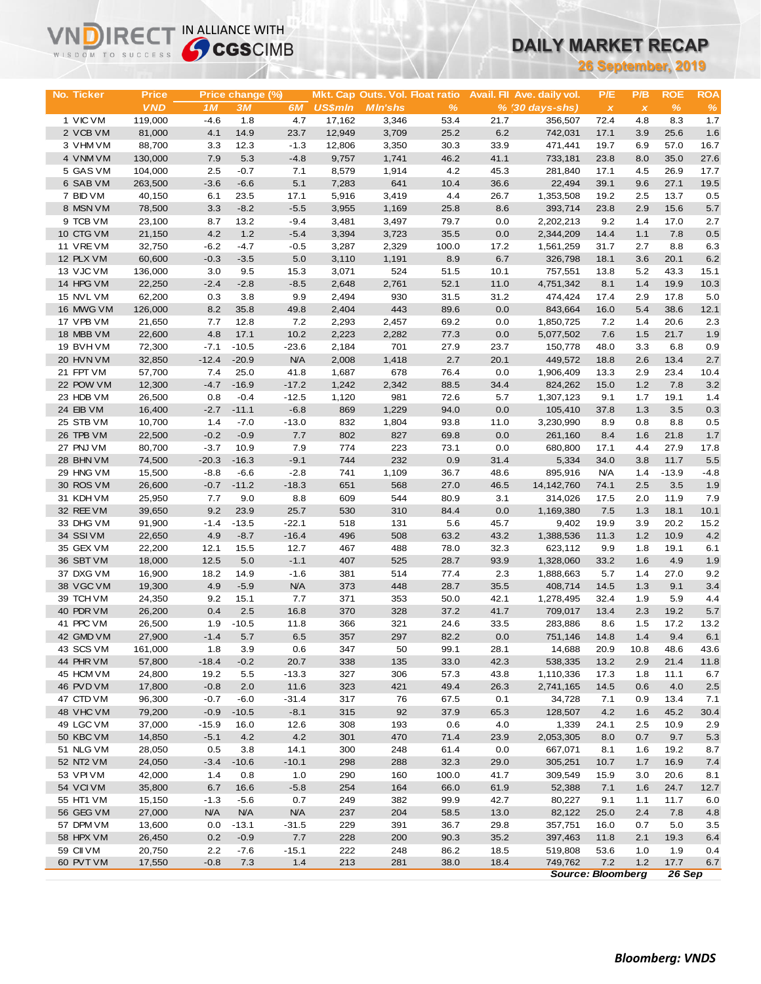| 26 September, 2019<br><b>ROE</b><br><b>ROA</b><br>No. Ticker<br><b>Price</b><br>Price change (%)<br>Mkt. Cap Outs. Vol. Float ratio<br>Avail. Fil Ave. daily vol.<br>P/E<br>P/B<br><b>VND</b><br>$\%$<br>3M<br><b>US\$mln</b><br>%<br>$\frac{9}{6}$<br>1 <sub>M</sub><br>6M<br><b>MIn'shs</b><br>$% (30 \, \text{days-shs})$<br>$\boldsymbol{\mathsf{x}}$<br>$\boldsymbol{\mathsf{x}}$<br>1 VIC VM<br>119,000<br>$-4.6$<br>4.7<br>17,162<br>3,346<br>53.4<br>21.7<br>72.4<br>4.8<br>8.3<br>1.7<br>1.8<br>356,507<br>2 VCB VM<br>81,000<br>4.1<br>14.9<br>23.7<br>12,949<br>3,709<br>25.2<br>6.2<br>17.1<br>3.9<br>25.6<br>1.6<br>742,031<br>3 VHM VM<br>88,700<br>12.3<br>$-1.3$<br>3,350<br>33.9<br>19.7<br>6.9<br>57.0<br>16.7<br>3.3<br>12,806<br>30.3<br>471,441<br>4 VNM VM<br>41.1<br>35.0<br>27.6<br>130,000<br>7.9<br>5.3<br>$-4.8$<br>9,757<br>1,741<br>46.2<br>733,181<br>23.8<br>8.0<br>5 GAS VM<br>104,000<br>2.5<br>$-0.7$<br>7.1<br>8,579<br>1,914<br>4.2<br>45.3<br>281,840<br>17.1<br>4.5<br>26.9<br>17.7<br>6 SAB VM<br>$-3.6$<br>5.1<br>7,283<br>10.4<br>36.6<br>27.1<br>19.5<br>263,500<br>$-6.6$<br>641<br>22,494<br>39.1<br>9.6<br>7 BID VM<br>40,150<br>17.1<br>3,419<br>4.4<br>19.2<br>13.7<br>0.5<br>6.1<br>23.5<br>5,916<br>26.7<br>1,353,508<br>2.5<br>8 MSN VM<br>$-8.2$<br>$-5.5$<br>15.6<br>5.7<br>78,500<br>3.3<br>3,955<br>1,169<br>25.8<br>8.6<br>393,714<br>23.8<br>2.9<br>9 TCB VM<br>13.2<br>17.0<br>2.7<br>23,100<br>8.7<br>$-9.4$<br>3,481<br>3,497<br>79.7<br>0.0<br>2,202,213<br>9.2<br>1.4<br>10 CTG VM<br>21,150<br>4.2<br>1.2<br>$-5.4$<br>3,394<br>0.0<br>1.1<br>7.8<br>3,723<br>35.5<br>2,344,209<br>14.4<br>0.5<br>32,750<br>$-4.7$<br>17.2<br>6.3<br>11 VRE VM<br>$-6.2$<br>$-0.5$<br>3,287<br>2,329<br>100.0<br>1,561,259<br>31.7<br>2.7<br>8.8<br>12 PLX VM<br>60,600<br>8.9<br>6.7<br>20.1<br>6.2<br>$-0.3$<br>$-3.5$<br>5.0<br>3,110<br>1,191<br>326,798<br>18.1<br>3.6<br>13 VJC VM<br>15.3<br>43.3<br>136,000<br>3.0<br>9.5<br>3,071<br>524<br>51.5<br>10.1<br>757,551<br>13.8<br>5.2<br>15.1<br>14 HPG VM<br>22,250<br>$-2.4$<br>$-2.8$<br>52.1<br>11.0<br>19.9<br>$-8.5$<br>2,648<br>2,761<br>4,751,342<br>8.1<br>1.4<br>10.3<br>15 NVL VM<br>17.8<br>62,200<br>0.3<br>3.8<br>9.9<br>2,494<br>930<br>31.5<br>31.2<br>474,424<br>17.4<br>2.9<br>5.0<br>8.2<br>443<br>5.4<br>16 MWG VM<br>126,000<br>35.8<br>49.8<br>2,404<br>89.6<br>0.0<br>843,664<br>16.0<br>38.6<br>12.1<br>17 VPB VM<br>21,650<br>7.7<br>12.8<br>7.2<br>2,293<br>2,457<br>69.2<br>0.0<br>1,850,725<br>7.2<br>20.6<br>2.3<br>1.4<br>18 MBB VM<br>22,600<br>4.8<br>17.1<br>10.2<br>2,223<br>2,282<br>77.3<br>0.0<br>1.5<br>21.7<br>1.9<br>5,077,502<br>7.6<br>19 BVHVM<br>72,300<br>$-7.1$<br>$-10.5$<br>$-23.6$<br>2,184<br>701<br>27.9<br>23.7<br>48.0<br>3.3<br>6.8<br>0.9<br>150,778<br>20 HVN VM<br>$-12.4$<br><b>N/A</b><br>2.7<br>20.1<br>13.4<br>2.7<br>32,850<br>$-20.9$<br>2,008<br>1,418<br>449,572<br>18.8<br>2.6<br>21 FPT VM<br>57,700<br>7.4<br>25.0<br>41.8<br>1,687<br>678<br>76.4<br>0.0<br>1,906,409<br>2.9<br>23.4<br>10.4<br>13.3<br>22 POW VM<br>$-4.7$<br>$-17.2$<br>88.5<br>1.2<br>7.8<br>12,300<br>$-16.9$<br>1,242<br>2,342<br>34.4<br>824,262<br>15.0<br>3.2<br>0.8<br>$-0.4$<br>$-12.5$<br>72.6<br>23 HDB VM<br>26,500<br>1,120<br>981<br>5.7<br>1,307,123<br>9.1<br>1.7<br>19.1<br>1.4<br>24 EIB VM<br>$-6.8$<br>0.0<br>16,400<br>$-2.7$<br>$-11.1$<br>869<br>1,229<br>94.0<br>105,410<br>37.8<br>1.3<br>3.5<br>0.3<br>$-7.0$<br>$-13.0$<br>832<br>8.8<br>0.5<br>25 STB VM<br>10,700<br>1.4<br>1,804<br>93.8<br>11.0<br>3,230,990<br>8.9<br>0.8<br>26 TPB VM<br>22,500<br>$-0.2$<br>$-0.9$<br>802<br>69.8<br>0.0<br>1.6<br>21.8<br>1.7<br>7.7<br>827<br>261,160<br>8.4<br>27 PNJ VM<br>80,700<br>$-3.7$<br>7.9<br>223<br>0.0<br>27.9<br>17.8<br>10.9<br>774<br>73.1<br>680,800<br>17.1<br>4.4<br>$-9.1$<br>744<br>232<br>11.7<br>5.5<br>28 BHN VM<br>74,500<br>$-20.3$<br>$-16.3$<br>0.9<br>31.4<br>5,334<br>34.0<br>3.8<br>29 HNG VM<br>$-8.8$<br>$-2.8$<br>741<br>36.7<br>$-4.8$<br>15,500<br>$-6.6$<br>1,109<br>48.6<br>895,916<br><b>N/A</b><br>1.4<br>$-13.9$<br>30 ROS VM<br>$-0.7$<br>$-11.2$<br>651<br>27.0<br>46.5<br>14,142,760<br>2.5<br>26,600<br>$-18.3$<br>568<br>74.1<br>3.5<br>1.9<br>31 KDH VM<br>7.7<br>9.0<br>609<br>80.9<br>11.9<br>7.9<br>25,950<br>8.8<br>544<br>3.1<br>314,026<br>17.5<br>2.0<br>32 REE VM<br>9.2<br>25.7<br>530<br>39,650<br>23.9<br>310<br>84.4<br>0.0<br>1,169,380<br>7.5<br>1.3<br>18.1<br>10.1<br>$-22.1$<br>45.7<br>20.2<br>15.2<br>33 DHG VM<br>91,900<br>$-1.4$<br>$-13.5$<br>518<br>131<br>5.6<br>9,402<br>19.9<br>3.9<br>34 SSIVM<br>22,650<br>4.9<br>$-8.7$<br>$-16.4$<br>496<br>508<br>63.2<br>43.2<br>1.2<br>10.9<br>4.2<br>1,388,536<br>11.3<br>35 GEX VM<br>12.1<br>12.7<br>467<br>488<br>32.3<br>9.9<br>19.1<br>22,200<br>15.5<br>78.0<br>623,112<br>1.8<br>6.1<br>36 SBT VM<br>407<br>18,000<br>12.5<br>5.0<br>$-1.1$<br>525<br>28.7<br>93.9<br>1,328,060<br>33.2<br>1.6<br>4.9<br>1.9<br>37 DXG VM<br>16,900<br>18.2<br>14.9<br>$-1.6$<br>381<br>514<br>77.4<br>2.3<br>1,888,663<br>5.7<br>1.4<br>27.0<br>9.2<br>4.9<br>38 VGC VM<br>$-5.9$<br><b>N/A</b><br>373<br>448<br>28.7<br>35.5<br>1.3<br>9.1<br>3.4<br>19,300<br>408,714<br>14.5<br>9.2<br>371<br>353<br>5.9<br>4.4<br>39 TCH VM<br>24,350<br>15.1<br>7.7<br>50.0<br>42.1<br>1,278,495<br>32.4<br>1.9<br>40 PDR VM<br>26,200<br>0.4<br>2.5<br>16.8<br>370<br>328<br>37.2<br>41.7<br>709,017<br>19.2<br>5.7<br>13.4<br>2.3<br>41 PPC VM<br>26,500<br>17.2<br>1.9<br>$-10.5$<br>11.8<br>366<br>321<br>24.6<br>33.5<br>283,886<br>8.6<br>1.5<br>13.2<br>42 GMD VM<br>27,900<br>$-1.4$<br>5.7<br>357<br>82.2<br>0.0<br>1.4<br>9.4<br>6.5<br>297<br>751,146<br>14.8<br>6.1<br>43 SCS VM<br>161,000<br>1.8<br>3.9<br>0.6<br>347<br>50<br>99.1<br>28.1<br>14,688<br>20.9<br>10.8<br>48.6<br>43.6<br>44 PHR VM<br>57,800<br>$-18.4$<br>$-0.2$<br>20.7<br>338<br>135<br>33.0<br>42.3<br>538,335<br>13.2<br>2.9<br>21.4<br>11.8<br>45 HCM VM<br>24,800<br>19.2<br>5.5<br>$-13.3$<br>327<br>306<br>57.3<br>43.8<br>1,110,336<br>11.1<br>17.3<br>1.8<br>6.7<br>46 PVD VM<br>323<br>17,800<br>$-0.8$<br>2.0<br>11.6<br>421<br>49.4<br>26.3<br>2,741,165<br>0.6<br>4.0<br>2.5<br>14.5<br>$-6.0$<br>0.1<br>47 CTD VM<br>96,300<br>$-0.7$<br>$-31.4$<br>317<br>76<br>67.5<br>34,728<br>7.1<br>0.9<br>13.4<br>7.1<br>48 VHC VM<br>315<br>79,200<br>$-0.9$<br>$-10.5$<br>$-8.1$<br>92<br>37.9<br>65.3<br>128,507<br>4.2<br>1.6<br>45.2<br>30.4<br>49 LGC VM<br>37,000<br>$-15.9$<br>12.6<br>308<br>193<br>0.6<br>4.0<br>1,339<br>10.9<br>2.9<br>16.0<br>24.1<br>2.5<br>50 KBC VM<br>$-5.1$<br>4.2<br>4.2<br>301<br>470<br>71.4<br>23.9<br>9.7<br>14,850<br>2,053,305<br>8.0<br>0.7<br>5.3<br>0.5<br>300<br>51 NLG VM<br>28,050<br>3.8<br>14.1<br>248<br>61.4<br>0.0<br>667,071<br>8.1<br>1.6<br>19.2<br>8.7<br>52 NT2 VM<br>24,050<br>$-3.4$<br>$-10.6$<br>$-10.1$<br>298<br>288<br>32.3<br>29.0<br>305,251<br>10.7<br>1.7<br>16.9<br>7.4<br>53 VPI VM<br>42,000<br>1.4<br>0.8<br>1.0<br>290<br>160<br>100.0<br>41.7<br>309,549<br>20.6<br>8.1<br>15.9<br>3.0<br>54 VCIVM<br>66.0<br>35,800<br>6.7<br>16.6<br>$-5.8$<br>254<br>164<br>61.9<br>52,388<br>7.1<br>24.7<br>12.7<br>1.6<br>0.7<br>55 HT1 VM<br>15,150<br>$-1.3$<br>$-5.6$<br>249<br>382<br>99.9<br>42.7<br>80,227<br>9.1<br>11.7<br>6.0<br>1.1<br>56 GEG VM<br>27,000<br><b>N/A</b><br><b>N/A</b><br><b>N/A</b><br>237<br>204<br>58.5<br>13.0<br>82,122<br>25.0<br>2.4<br>7.8<br>4.8<br>57 DPM VM<br>13,600<br>0.0<br>$-13.1$<br>$-31.5$<br>229<br>391<br>36.7<br>29.8<br>357,751<br>0.7<br>5.0<br>3.5<br>16.0<br>58 HPX VM<br>26,450<br>0.2<br>228<br>90.3<br>$-0.9$<br>7.7<br>200<br>35.2<br>397,463<br>2.1<br>19.3<br>11.8<br>6.4<br>59 CII VM<br>20,750<br>222<br>2.2<br>$-7.6$<br>$-15.1$<br>248<br>86.2<br>18.5<br>519,808<br>53.6<br>1.9<br>0.4<br>1.0<br>60 PVT VM<br>$-0.8$<br>7.3<br>1.4<br>213<br>281<br>38.0<br>18.4<br>7.2<br>1.2<br>17.7<br>6.7<br>17,550<br>749,762 | WISDOM TO SUCCESS | <b>Sy CGS</b> CIMB |  |  | <b>DAILY MARKET RECAP</b> |  |  |  |  |  |
|---------------------------------------------------------------------------------------------------------------------------------------------------------------------------------------------------------------------------------------------------------------------------------------------------------------------------------------------------------------------------------------------------------------------------------------------------------------------------------------------------------------------------------------------------------------------------------------------------------------------------------------------------------------------------------------------------------------------------------------------------------------------------------------------------------------------------------------------------------------------------------------------------------------------------------------------------------------------------------------------------------------------------------------------------------------------------------------------------------------------------------------------------------------------------------------------------------------------------------------------------------------------------------------------------------------------------------------------------------------------------------------------------------------------------------------------------------------------------------------------------------------------------------------------------------------------------------------------------------------------------------------------------------------------------------------------------------------------------------------------------------------------------------------------------------------------------------------------------------------------------------------------------------------------------------------------------------------------------------------------------------------------------------------------------------------------------------------------------------------------------------------------------------------------------------------------------------------------------------------------------------------------------------------------------------------------------------------------------------------------------------------------------------------------------------------------------------------------------------------------------------------------------------------------------------------------------------------------------------------------------------------------------------------------------------------------------------------------------------------------------------------------------------------------------------------------------------------------------------------------------------------------------------------------------------------------------------------------------------------------------------------------------------------------------------------------------------------------------------------------------------------------------------------------------------------------------------------------------------------------------------------------------------------------------------------------------------------------------------------------------------------------------------------------------------------------------------------------------------------------------------------------------------------------------------------------------------------------------------------------------------------------------------------------------------------------------------------------------------------------------------------------------------------------------------------------------------------------------------------------------------------------------------------------------------------------------------------------------------------------------------------------------------------------------------------------------------------------------------------------------------------------------------------------------------------------------------------------------------------------------------------------------------------------------------------------------------------------------------------------------------------------------------------------------------------------------------------------------------------------------------------------------------------------------------------------------------------------------------------------------------------------------------------------------------------------------------------------------------------------------------------------------------------------------------------------------------------------------------------------------------------------------------------------------------------------------------------------------------------------------------------------------------------------------------------------------------------------------------------------------------------------------------------------------------------------------------------------------------------------------------------------------------------------------------------------------------------------------------------------------------------------------------------------------------------------------------------------------------------------------------------------------------------------------------------------------------------------------------------------------------------------------------------------------------------------------------------------------------------------------------------------------------------------------------------------------------------------------------------------------------------------------------------------------------------------------------------------------------------------------------------------------------------------------------------------------------------------------------------------------------------------------------------------------------------------------------------------------------------------------------------------------------------------------------------------------------------------------------------------------------------------------------------------------------------------------------------------------------------------------------------------------------------------------------------------------------------------------------------------------------------------------------------------------------------------------------------------------------------------------------------------------------------------------------------------------------------------------------------------------------------------------------------------------------------------------------------------------------------------------------------------------------------------------------------------------------------------------------------------------------------------------------------------------------------------------------------------------------------------------------------------------------------------------------------------------------------------------------------------------------------------------------------------------------------------------------------------------------------------------------------------------------------------------------------------------------------------------------------------------------------------------------------------------------------------------------------------------------------------------------------------------------------------------------------------------------------------------------------------------------------------------------------------------------------------------------------------------------------------------|-------------------|--------------------|--|--|---------------------------|--|--|--|--|--|
|                                                                                                                                                                                                                                                                                                                                                                                                                                                                                                                                                                                                                                                                                                                                                                                                                                                                                                                                                                                                                                                                                                                                                                                                                                                                                                                                                                                                                                                                                                                                                                                                                                                                                                                                                                                                                                                                                                                                                                                                                                                                                                                                                                                                                                                                                                                                                                                                                                                                                                                                                                                                                                                                                                                                                                                                                                                                                                                                                                                                                                                                                                                                                                                                                                                                                                                                                                                                                                                                                                                                                                                                                                                                                                                                                                                                                                                                                                                                                                                                                                                                                                                                                                                                                                                                                                                                                                                                                                                                                                                                                                                                                                                                                                                                                                                                                                                                                                                                                                                                                                                                                                                                                                                                                                                                                                                                                                                                                                                                                                                                                                                                                                                                                                                                                                                                                                                                                                                                                                                                                                                                                                                                                                                                                                                                                                                                                                                                                                                                                                                                                                                                                                                                                                                                                                                                                                                                                                                                                                                                                                                                                                                                                                                                                                                                                                                                                                                                                                                                                                                                                                                                                                                                                                                                                                                                                                                                                                                                                                                                   |                   |                    |  |  |                           |  |  |  |  |  |
|                                                                                                                                                                                                                                                                                                                                                                                                                                                                                                                                                                                                                                                                                                                                                                                                                                                                                                                                                                                                                                                                                                                                                                                                                                                                                                                                                                                                                                                                                                                                                                                                                                                                                                                                                                                                                                                                                                                                                                                                                                                                                                                                                                                                                                                                                                                                                                                                                                                                                                                                                                                                                                                                                                                                                                                                                                                                                                                                                                                                                                                                                                                                                                                                                                                                                                                                                                                                                                                                                                                                                                                                                                                                                                                                                                                                                                                                                                                                                                                                                                                                                                                                                                                                                                                                                                                                                                                                                                                                                                                                                                                                                                                                                                                                                                                                                                                                                                                                                                                                                                                                                                                                                                                                                                                                                                                                                                                                                                                                                                                                                                                                                                                                                                                                                                                                                                                                                                                                                                                                                                                                                                                                                                                                                                                                                                                                                                                                                                                                                                                                                                                                                                                                                                                                                                                                                                                                                                                                                                                                                                                                                                                                                                                                                                                                                                                                                                                                                                                                                                                                                                                                                                                                                                                                                                                                                                                                                                                                                                                                   |                   |                    |  |  |                           |  |  |  |  |  |
|                                                                                                                                                                                                                                                                                                                                                                                                                                                                                                                                                                                                                                                                                                                                                                                                                                                                                                                                                                                                                                                                                                                                                                                                                                                                                                                                                                                                                                                                                                                                                                                                                                                                                                                                                                                                                                                                                                                                                                                                                                                                                                                                                                                                                                                                                                                                                                                                                                                                                                                                                                                                                                                                                                                                                                                                                                                                                                                                                                                                                                                                                                                                                                                                                                                                                                                                                                                                                                                                                                                                                                                                                                                                                                                                                                                                                                                                                                                                                                                                                                                                                                                                                                                                                                                                                                                                                                                                                                                                                                                                                                                                                                                                                                                                                                                                                                                                                                                                                                                                                                                                                                                                                                                                                                                                                                                                                                                                                                                                                                                                                                                                                                                                                                                                                                                                                                                                                                                                                                                                                                                                                                                                                                                                                                                                                                                                                                                                                                                                                                                                                                                                                                                                                                                                                                                                                                                                                                                                                                                                                                                                                                                                                                                                                                                                                                                                                                                                                                                                                                                                                                                                                                                                                                                                                                                                                                                                                                                                                                                                   |                   |                    |  |  |                           |  |  |  |  |  |
|                                                                                                                                                                                                                                                                                                                                                                                                                                                                                                                                                                                                                                                                                                                                                                                                                                                                                                                                                                                                                                                                                                                                                                                                                                                                                                                                                                                                                                                                                                                                                                                                                                                                                                                                                                                                                                                                                                                                                                                                                                                                                                                                                                                                                                                                                                                                                                                                                                                                                                                                                                                                                                                                                                                                                                                                                                                                                                                                                                                                                                                                                                                                                                                                                                                                                                                                                                                                                                                                                                                                                                                                                                                                                                                                                                                                                                                                                                                                                                                                                                                                                                                                                                                                                                                                                                                                                                                                                                                                                                                                                                                                                                                                                                                                                                                                                                                                                                                                                                                                                                                                                                                                                                                                                                                                                                                                                                                                                                                                                                                                                                                                                                                                                                                                                                                                                                                                                                                                                                                                                                                                                                                                                                                                                                                                                                                                                                                                                                                                                                                                                                                                                                                                                                                                                                                                                                                                                                                                                                                                                                                                                                                                                                                                                                                                                                                                                                                                                                                                                                                                                                                                                                                                                                                                                                                                                                                                                                                                                                                                   |                   |                    |  |  |                           |  |  |  |  |  |
|                                                                                                                                                                                                                                                                                                                                                                                                                                                                                                                                                                                                                                                                                                                                                                                                                                                                                                                                                                                                                                                                                                                                                                                                                                                                                                                                                                                                                                                                                                                                                                                                                                                                                                                                                                                                                                                                                                                                                                                                                                                                                                                                                                                                                                                                                                                                                                                                                                                                                                                                                                                                                                                                                                                                                                                                                                                                                                                                                                                                                                                                                                                                                                                                                                                                                                                                                                                                                                                                                                                                                                                                                                                                                                                                                                                                                                                                                                                                                                                                                                                                                                                                                                                                                                                                                                                                                                                                                                                                                                                                                                                                                                                                                                                                                                                                                                                                                                                                                                                                                                                                                                                                                                                                                                                                                                                                                                                                                                                                                                                                                                                                                                                                                                                                                                                                                                                                                                                                                                                                                                                                                                                                                                                                                                                                                                                                                                                                                                                                                                                                                                                                                                                                                                                                                                                                                                                                                                                                                                                                                                                                                                                                                                                                                                                                                                                                                                                                                                                                                                                                                                                                                                                                                                                                                                                                                                                                                                                                                                                                   |                   |                    |  |  |                           |  |  |  |  |  |
|                                                                                                                                                                                                                                                                                                                                                                                                                                                                                                                                                                                                                                                                                                                                                                                                                                                                                                                                                                                                                                                                                                                                                                                                                                                                                                                                                                                                                                                                                                                                                                                                                                                                                                                                                                                                                                                                                                                                                                                                                                                                                                                                                                                                                                                                                                                                                                                                                                                                                                                                                                                                                                                                                                                                                                                                                                                                                                                                                                                                                                                                                                                                                                                                                                                                                                                                                                                                                                                                                                                                                                                                                                                                                                                                                                                                                                                                                                                                                                                                                                                                                                                                                                                                                                                                                                                                                                                                                                                                                                                                                                                                                                                                                                                                                                                                                                                                                                                                                                                                                                                                                                                                                                                                                                                                                                                                                                                                                                                                                                                                                                                                                                                                                                                                                                                                                                                                                                                                                                                                                                                                                                                                                                                                                                                                                                                                                                                                                                                                                                                                                                                                                                                                                                                                                                                                                                                                                                                                                                                                                                                                                                                                                                                                                                                                                                                                                                                                                                                                                                                                                                                                                                                                                                                                                                                                                                                                                                                                                                                                   |                   |                    |  |  |                           |  |  |  |  |  |
|                                                                                                                                                                                                                                                                                                                                                                                                                                                                                                                                                                                                                                                                                                                                                                                                                                                                                                                                                                                                                                                                                                                                                                                                                                                                                                                                                                                                                                                                                                                                                                                                                                                                                                                                                                                                                                                                                                                                                                                                                                                                                                                                                                                                                                                                                                                                                                                                                                                                                                                                                                                                                                                                                                                                                                                                                                                                                                                                                                                                                                                                                                                                                                                                                                                                                                                                                                                                                                                                                                                                                                                                                                                                                                                                                                                                                                                                                                                                                                                                                                                                                                                                                                                                                                                                                                                                                                                                                                                                                                                                                                                                                                                                                                                                                                                                                                                                                                                                                                                                                                                                                                                                                                                                                                                                                                                                                                                                                                                                                                                                                                                                                                                                                                                                                                                                                                                                                                                                                                                                                                                                                                                                                                                                                                                                                                                                                                                                                                                                                                                                                                                                                                                                                                                                                                                                                                                                                                                                                                                                                                                                                                                                                                                                                                                                                                                                                                                                                                                                                                                                                                                                                                                                                                                                                                                                                                                                                                                                                                                                   |                   |                    |  |  |                           |  |  |  |  |  |
|                                                                                                                                                                                                                                                                                                                                                                                                                                                                                                                                                                                                                                                                                                                                                                                                                                                                                                                                                                                                                                                                                                                                                                                                                                                                                                                                                                                                                                                                                                                                                                                                                                                                                                                                                                                                                                                                                                                                                                                                                                                                                                                                                                                                                                                                                                                                                                                                                                                                                                                                                                                                                                                                                                                                                                                                                                                                                                                                                                                                                                                                                                                                                                                                                                                                                                                                                                                                                                                                                                                                                                                                                                                                                                                                                                                                                                                                                                                                                                                                                                                                                                                                                                                                                                                                                                                                                                                                                                                                                                                                                                                                                                                                                                                                                                                                                                                                                                                                                                                                                                                                                                                                                                                                                                                                                                                                                                                                                                                                                                                                                                                                                                                                                                                                                                                                                                                                                                                                                                                                                                                                                                                                                                                                                                                                                                                                                                                                                                                                                                                                                                                                                                                                                                                                                                                                                                                                                                                                                                                                                                                                                                                                                                                                                                                                                                                                                                                                                                                                                                                                                                                                                                                                                                                                                                                                                                                                                                                                                                                                   |                   |                    |  |  |                           |  |  |  |  |  |
|                                                                                                                                                                                                                                                                                                                                                                                                                                                                                                                                                                                                                                                                                                                                                                                                                                                                                                                                                                                                                                                                                                                                                                                                                                                                                                                                                                                                                                                                                                                                                                                                                                                                                                                                                                                                                                                                                                                                                                                                                                                                                                                                                                                                                                                                                                                                                                                                                                                                                                                                                                                                                                                                                                                                                                                                                                                                                                                                                                                                                                                                                                                                                                                                                                                                                                                                                                                                                                                                                                                                                                                                                                                                                                                                                                                                                                                                                                                                                                                                                                                                                                                                                                                                                                                                                                                                                                                                                                                                                                                                                                                                                                                                                                                                                                                                                                                                                                                                                                                                                                                                                                                                                                                                                                                                                                                                                                                                                                                                                                                                                                                                                                                                                                                                                                                                                                                                                                                                                                                                                                                                                                                                                                                                                                                                                                                                                                                                                                                                                                                                                                                                                                                                                                                                                                                                                                                                                                                                                                                                                                                                                                                                                                                                                                                                                                                                                                                                                                                                                                                                                                                                                                                                                                                                                                                                                                                                                                                                                                                                   |                   |                    |  |  |                           |  |  |  |  |  |
|                                                                                                                                                                                                                                                                                                                                                                                                                                                                                                                                                                                                                                                                                                                                                                                                                                                                                                                                                                                                                                                                                                                                                                                                                                                                                                                                                                                                                                                                                                                                                                                                                                                                                                                                                                                                                                                                                                                                                                                                                                                                                                                                                                                                                                                                                                                                                                                                                                                                                                                                                                                                                                                                                                                                                                                                                                                                                                                                                                                                                                                                                                                                                                                                                                                                                                                                                                                                                                                                                                                                                                                                                                                                                                                                                                                                                                                                                                                                                                                                                                                                                                                                                                                                                                                                                                                                                                                                                                                                                                                                                                                                                                                                                                                                                                                                                                                                                                                                                                                                                                                                                                                                                                                                                                                                                                                                                                                                                                                                                                                                                                                                                                                                                                                                                                                                                                                                                                                                                                                                                                                                                                                                                                                                                                                                                                                                                                                                                                                                                                                                                                                                                                                                                                                                                                                                                                                                                                                                                                                                                                                                                                                                                                                                                                                                                                                                                                                                                                                                                                                                                                                                                                                                                                                                                                                                                                                                                                                                                                                                   |                   |                    |  |  |                           |  |  |  |  |  |
|                                                                                                                                                                                                                                                                                                                                                                                                                                                                                                                                                                                                                                                                                                                                                                                                                                                                                                                                                                                                                                                                                                                                                                                                                                                                                                                                                                                                                                                                                                                                                                                                                                                                                                                                                                                                                                                                                                                                                                                                                                                                                                                                                                                                                                                                                                                                                                                                                                                                                                                                                                                                                                                                                                                                                                                                                                                                                                                                                                                                                                                                                                                                                                                                                                                                                                                                                                                                                                                                                                                                                                                                                                                                                                                                                                                                                                                                                                                                                                                                                                                                                                                                                                                                                                                                                                                                                                                                                                                                                                                                                                                                                                                                                                                                                                                                                                                                                                                                                                                                                                                                                                                                                                                                                                                                                                                                                                                                                                                                                                                                                                                                                                                                                                                                                                                                                                                                                                                                                                                                                                                                                                                                                                                                                                                                                                                                                                                                                                                                                                                                                                                                                                                                                                                                                                                                                                                                                                                                                                                                                                                                                                                                                                                                                                                                                                                                                                                                                                                                                                                                                                                                                                                                                                                                                                                                                                                                                                                                                                                                   |                   |                    |  |  |                           |  |  |  |  |  |
|                                                                                                                                                                                                                                                                                                                                                                                                                                                                                                                                                                                                                                                                                                                                                                                                                                                                                                                                                                                                                                                                                                                                                                                                                                                                                                                                                                                                                                                                                                                                                                                                                                                                                                                                                                                                                                                                                                                                                                                                                                                                                                                                                                                                                                                                                                                                                                                                                                                                                                                                                                                                                                                                                                                                                                                                                                                                                                                                                                                                                                                                                                                                                                                                                                                                                                                                                                                                                                                                                                                                                                                                                                                                                                                                                                                                                                                                                                                                                                                                                                                                                                                                                                                                                                                                                                                                                                                                                                                                                                                                                                                                                                                                                                                                                                                                                                                                                                                                                                                                                                                                                                                                                                                                                                                                                                                                                                                                                                                                                                                                                                                                                                                                                                                                                                                                                                                                                                                                                                                                                                                                                                                                                                                                                                                                                                                                                                                                                                                                                                                                                                                                                                                                                                                                                                                                                                                                                                                                                                                                                                                                                                                                                                                                                                                                                                                                                                                                                                                                                                                                                                                                                                                                                                                                                                                                                                                                                                                                                                                                   |                   |                    |  |  |                           |  |  |  |  |  |
|                                                                                                                                                                                                                                                                                                                                                                                                                                                                                                                                                                                                                                                                                                                                                                                                                                                                                                                                                                                                                                                                                                                                                                                                                                                                                                                                                                                                                                                                                                                                                                                                                                                                                                                                                                                                                                                                                                                                                                                                                                                                                                                                                                                                                                                                                                                                                                                                                                                                                                                                                                                                                                                                                                                                                                                                                                                                                                                                                                                                                                                                                                                                                                                                                                                                                                                                                                                                                                                                                                                                                                                                                                                                                                                                                                                                                                                                                                                                                                                                                                                                                                                                                                                                                                                                                                                                                                                                                                                                                                                                                                                                                                                                                                                                                                                                                                                                                                                                                                                                                                                                                                                                                                                                                                                                                                                                                                                                                                                                                                                                                                                                                                                                                                                                                                                                                                                                                                                                                                                                                                                                                                                                                                                                                                                                                                                                                                                                                                                                                                                                                                                                                                                                                                                                                                                                                                                                                                                                                                                                                                                                                                                                                                                                                                                                                                                                                                                                                                                                                                                                                                                                                                                                                                                                                                                                                                                                                                                                                                                                   |                   |                    |  |  |                           |  |  |  |  |  |
|                                                                                                                                                                                                                                                                                                                                                                                                                                                                                                                                                                                                                                                                                                                                                                                                                                                                                                                                                                                                                                                                                                                                                                                                                                                                                                                                                                                                                                                                                                                                                                                                                                                                                                                                                                                                                                                                                                                                                                                                                                                                                                                                                                                                                                                                                                                                                                                                                                                                                                                                                                                                                                                                                                                                                                                                                                                                                                                                                                                                                                                                                                                                                                                                                                                                                                                                                                                                                                                                                                                                                                                                                                                                                                                                                                                                                                                                                                                                                                                                                                                                                                                                                                                                                                                                                                                                                                                                                                                                                                                                                                                                                                                                                                                                                                                                                                                                                                                                                                                                                                                                                                                                                                                                                                                                                                                                                                                                                                                                                                                                                                                                                                                                                                                                                                                                                                                                                                                                                                                                                                                                                                                                                                                                                                                                                                                                                                                                                                                                                                                                                                                                                                                                                                                                                                                                                                                                                                                                                                                                                                                                                                                                                                                                                                                                                                                                                                                                                                                                                                                                                                                                                                                                                                                                                                                                                                                                                                                                                                                                   |                   |                    |  |  |                           |  |  |  |  |  |
|                                                                                                                                                                                                                                                                                                                                                                                                                                                                                                                                                                                                                                                                                                                                                                                                                                                                                                                                                                                                                                                                                                                                                                                                                                                                                                                                                                                                                                                                                                                                                                                                                                                                                                                                                                                                                                                                                                                                                                                                                                                                                                                                                                                                                                                                                                                                                                                                                                                                                                                                                                                                                                                                                                                                                                                                                                                                                                                                                                                                                                                                                                                                                                                                                                                                                                                                                                                                                                                                                                                                                                                                                                                                                                                                                                                                                                                                                                                                                                                                                                                                                                                                                                                                                                                                                                                                                                                                                                                                                                                                                                                                                                                                                                                                                                                                                                                                                                                                                                                                                                                                                                                                                                                                                                                                                                                                                                                                                                                                                                                                                                                                                                                                                                                                                                                                                                                                                                                                                                                                                                                                                                                                                                                                                                                                                                                                                                                                                                                                                                                                                                                                                                                                                                                                                                                                                                                                                                                                                                                                                                                                                                                                                                                                                                                                                                                                                                                                                                                                                                                                                                                                                                                                                                                                                                                                                                                                                                                                                                                                   |                   |                    |  |  |                           |  |  |  |  |  |
|                                                                                                                                                                                                                                                                                                                                                                                                                                                                                                                                                                                                                                                                                                                                                                                                                                                                                                                                                                                                                                                                                                                                                                                                                                                                                                                                                                                                                                                                                                                                                                                                                                                                                                                                                                                                                                                                                                                                                                                                                                                                                                                                                                                                                                                                                                                                                                                                                                                                                                                                                                                                                                                                                                                                                                                                                                                                                                                                                                                                                                                                                                                                                                                                                                                                                                                                                                                                                                                                                                                                                                                                                                                                                                                                                                                                                                                                                                                                                                                                                                                                                                                                                                                                                                                                                                                                                                                                                                                                                                                                                                                                                                                                                                                                                                                                                                                                                                                                                                                                                                                                                                                                                                                                                                                                                                                                                                                                                                                                                                                                                                                                                                                                                                                                                                                                                                                                                                                                                                                                                                                                                                                                                                                                                                                                                                                                                                                                                                                                                                                                                                                                                                                                                                                                                                                                                                                                                                                                                                                                                                                                                                                                                                                                                                                                                                                                                                                                                                                                                                                                                                                                                                                                                                                                                                                                                                                                                                                                                                                                   |                   |                    |  |  |                           |  |  |  |  |  |
|                                                                                                                                                                                                                                                                                                                                                                                                                                                                                                                                                                                                                                                                                                                                                                                                                                                                                                                                                                                                                                                                                                                                                                                                                                                                                                                                                                                                                                                                                                                                                                                                                                                                                                                                                                                                                                                                                                                                                                                                                                                                                                                                                                                                                                                                                                                                                                                                                                                                                                                                                                                                                                                                                                                                                                                                                                                                                                                                                                                                                                                                                                                                                                                                                                                                                                                                                                                                                                                                                                                                                                                                                                                                                                                                                                                                                                                                                                                                                                                                                                                                                                                                                                                                                                                                                                                                                                                                                                                                                                                                                                                                                                                                                                                                                                                                                                                                                                                                                                                                                                                                                                                                                                                                                                                                                                                                                                                                                                                                                                                                                                                                                                                                                                                                                                                                                                                                                                                                                                                                                                                                                                                                                                                                                                                                                                                                                                                                                                                                                                                                                                                                                                                                                                                                                                                                                                                                                                                                                                                                                                                                                                                                                                                                                                                                                                                                                                                                                                                                                                                                                                                                                                                                                                                                                                                                                                                                                                                                                                                                   |                   |                    |  |  |                           |  |  |  |  |  |
|                                                                                                                                                                                                                                                                                                                                                                                                                                                                                                                                                                                                                                                                                                                                                                                                                                                                                                                                                                                                                                                                                                                                                                                                                                                                                                                                                                                                                                                                                                                                                                                                                                                                                                                                                                                                                                                                                                                                                                                                                                                                                                                                                                                                                                                                                                                                                                                                                                                                                                                                                                                                                                                                                                                                                                                                                                                                                                                                                                                                                                                                                                                                                                                                                                                                                                                                                                                                                                                                                                                                                                                                                                                                                                                                                                                                                                                                                                                                                                                                                                                                                                                                                                                                                                                                                                                                                                                                                                                                                                                                                                                                                                                                                                                                                                                                                                                                                                                                                                                                                                                                                                                                                                                                                                                                                                                                                                                                                                                                                                                                                                                                                                                                                                                                                                                                                                                                                                                                                                                                                                                                                                                                                                                                                                                                                                                                                                                                                                                                                                                                                                                                                                                                                                                                                                                                                                                                                                                                                                                                                                                                                                                                                                                                                                                                                                                                                                                                                                                                                                                                                                                                                                                                                                                                                                                                                                                                                                                                                                                                   |                   |                    |  |  |                           |  |  |  |  |  |
|                                                                                                                                                                                                                                                                                                                                                                                                                                                                                                                                                                                                                                                                                                                                                                                                                                                                                                                                                                                                                                                                                                                                                                                                                                                                                                                                                                                                                                                                                                                                                                                                                                                                                                                                                                                                                                                                                                                                                                                                                                                                                                                                                                                                                                                                                                                                                                                                                                                                                                                                                                                                                                                                                                                                                                                                                                                                                                                                                                                                                                                                                                                                                                                                                                                                                                                                                                                                                                                                                                                                                                                                                                                                                                                                                                                                                                                                                                                                                                                                                                                                                                                                                                                                                                                                                                                                                                                                                                                                                                                                                                                                                                                                                                                                                                                                                                                                                                                                                                                                                                                                                                                                                                                                                                                                                                                                                                                                                                                                                                                                                                                                                                                                                                                                                                                                                                                                                                                                                                                                                                                                                                                                                                                                                                                                                                                                                                                                                                                                                                                                                                                                                                                                                                                                                                                                                                                                                                                                                                                                                                                                                                                                                                                                                                                                                                                                                                                                                                                                                                                                                                                                                                                                                                                                                                                                                                                                                                                                                                                                   |                   |                    |  |  |                           |  |  |  |  |  |
|                                                                                                                                                                                                                                                                                                                                                                                                                                                                                                                                                                                                                                                                                                                                                                                                                                                                                                                                                                                                                                                                                                                                                                                                                                                                                                                                                                                                                                                                                                                                                                                                                                                                                                                                                                                                                                                                                                                                                                                                                                                                                                                                                                                                                                                                                                                                                                                                                                                                                                                                                                                                                                                                                                                                                                                                                                                                                                                                                                                                                                                                                                                                                                                                                                                                                                                                                                                                                                                                                                                                                                                                                                                                                                                                                                                                                                                                                                                                                                                                                                                                                                                                                                                                                                                                                                                                                                                                                                                                                                                                                                                                                                                                                                                                                                                                                                                                                                                                                                                                                                                                                                                                                                                                                                                                                                                                                                                                                                                                                                                                                                                                                                                                                                                                                                                                                                                                                                                                                                                                                                                                                                                                                                                                                                                                                                                                                                                                                                                                                                                                                                                                                                                                                                                                                                                                                                                                                                                                                                                                                                                                                                                                                                                                                                                                                                                                                                                                                                                                                                                                                                                                                                                                                                                                                                                                                                                                                                                                                                                                   |                   |                    |  |  |                           |  |  |  |  |  |
|                                                                                                                                                                                                                                                                                                                                                                                                                                                                                                                                                                                                                                                                                                                                                                                                                                                                                                                                                                                                                                                                                                                                                                                                                                                                                                                                                                                                                                                                                                                                                                                                                                                                                                                                                                                                                                                                                                                                                                                                                                                                                                                                                                                                                                                                                                                                                                                                                                                                                                                                                                                                                                                                                                                                                                                                                                                                                                                                                                                                                                                                                                                                                                                                                                                                                                                                                                                                                                                                                                                                                                                                                                                                                                                                                                                                                                                                                                                                                                                                                                                                                                                                                                                                                                                                                                                                                                                                                                                                                                                                                                                                                                                                                                                                                                                                                                                                                                                                                                                                                                                                                                                                                                                                                                                                                                                                                                                                                                                                                                                                                                                                                                                                                                                                                                                                                                                                                                                                                                                                                                                                                                                                                                                                                                                                                                                                                                                                                                                                                                                                                                                                                                                                                                                                                                                                                                                                                                                                                                                                                                                                                                                                                                                                                                                                                                                                                                                                                                                                                                                                                                                                                                                                                                                                                                                                                                                                                                                                                                                                   |                   |                    |  |  |                           |  |  |  |  |  |
|                                                                                                                                                                                                                                                                                                                                                                                                                                                                                                                                                                                                                                                                                                                                                                                                                                                                                                                                                                                                                                                                                                                                                                                                                                                                                                                                                                                                                                                                                                                                                                                                                                                                                                                                                                                                                                                                                                                                                                                                                                                                                                                                                                                                                                                                                                                                                                                                                                                                                                                                                                                                                                                                                                                                                                                                                                                                                                                                                                                                                                                                                                                                                                                                                                                                                                                                                                                                                                                                                                                                                                                                                                                                                                                                                                                                                                                                                                                                                                                                                                                                                                                                                                                                                                                                                                                                                                                                                                                                                                                                                                                                                                                                                                                                                                                                                                                                                                                                                                                                                                                                                                                                                                                                                                                                                                                                                                                                                                                                                                                                                                                                                                                                                                                                                                                                                                                                                                                                                                                                                                                                                                                                                                                                                                                                                                                                                                                                                                                                                                                                                                                                                                                                                                                                                                                                                                                                                                                                                                                                                                                                                                                                                                                                                                                                                                                                                                                                                                                                                                                                                                                                                                                                                                                                                                                                                                                                                                                                                                                                   |                   |                    |  |  |                           |  |  |  |  |  |
|                                                                                                                                                                                                                                                                                                                                                                                                                                                                                                                                                                                                                                                                                                                                                                                                                                                                                                                                                                                                                                                                                                                                                                                                                                                                                                                                                                                                                                                                                                                                                                                                                                                                                                                                                                                                                                                                                                                                                                                                                                                                                                                                                                                                                                                                                                                                                                                                                                                                                                                                                                                                                                                                                                                                                                                                                                                                                                                                                                                                                                                                                                                                                                                                                                                                                                                                                                                                                                                                                                                                                                                                                                                                                                                                                                                                                                                                                                                                                                                                                                                                                                                                                                                                                                                                                                                                                                                                                                                                                                                                                                                                                                                                                                                                                                                                                                                                                                                                                                                                                                                                                                                                                                                                                                                                                                                                                                                                                                                                                                                                                                                                                                                                                                                                                                                                                                                                                                                                                                                                                                                                                                                                                                                                                                                                                                                                                                                                                                                                                                                                                                                                                                                                                                                                                                                                                                                                                                                                                                                                                                                                                                                                                                                                                                                                                                                                                                                                                                                                                                                                                                                                                                                                                                                                                                                                                                                                                                                                                                                                   |                   |                    |  |  |                           |  |  |  |  |  |
|                                                                                                                                                                                                                                                                                                                                                                                                                                                                                                                                                                                                                                                                                                                                                                                                                                                                                                                                                                                                                                                                                                                                                                                                                                                                                                                                                                                                                                                                                                                                                                                                                                                                                                                                                                                                                                                                                                                                                                                                                                                                                                                                                                                                                                                                                                                                                                                                                                                                                                                                                                                                                                                                                                                                                                                                                                                                                                                                                                                                                                                                                                                                                                                                                                                                                                                                                                                                                                                                                                                                                                                                                                                                                                                                                                                                                                                                                                                                                                                                                                                                                                                                                                                                                                                                                                                                                                                                                                                                                                                                                                                                                                                                                                                                                                                                                                                                                                                                                                                                                                                                                                                                                                                                                                                                                                                                                                                                                                                                                                                                                                                                                                                                                                                                                                                                                                                                                                                                                                                                                                                                                                                                                                                                                                                                                                                                                                                                                                                                                                                                                                                                                                                                                                                                                                                                                                                                                                                                                                                                                                                                                                                                                                                                                                                                                                                                                                                                                                                                                                                                                                                                                                                                                                                                                                                                                                                                                                                                                                                                   |                   |                    |  |  |                           |  |  |  |  |  |
|                                                                                                                                                                                                                                                                                                                                                                                                                                                                                                                                                                                                                                                                                                                                                                                                                                                                                                                                                                                                                                                                                                                                                                                                                                                                                                                                                                                                                                                                                                                                                                                                                                                                                                                                                                                                                                                                                                                                                                                                                                                                                                                                                                                                                                                                                                                                                                                                                                                                                                                                                                                                                                                                                                                                                                                                                                                                                                                                                                                                                                                                                                                                                                                                                                                                                                                                                                                                                                                                                                                                                                                                                                                                                                                                                                                                                                                                                                                                                                                                                                                                                                                                                                                                                                                                                                                                                                                                                                                                                                                                                                                                                                                                                                                                                                                                                                                                                                                                                                                                                                                                                                                                                                                                                                                                                                                                                                                                                                                                                                                                                                                                                                                                                                                                                                                                                                                                                                                                                                                                                                                                                                                                                                                                                                                                                                                                                                                                                                                                                                                                                                                                                                                                                                                                                                                                                                                                                                                                                                                                                                                                                                                                                                                                                                                                                                                                                                                                                                                                                                                                                                                                                                                                                                                                                                                                                                                                                                                                                                                                   |                   |                    |  |  |                           |  |  |  |  |  |
|                                                                                                                                                                                                                                                                                                                                                                                                                                                                                                                                                                                                                                                                                                                                                                                                                                                                                                                                                                                                                                                                                                                                                                                                                                                                                                                                                                                                                                                                                                                                                                                                                                                                                                                                                                                                                                                                                                                                                                                                                                                                                                                                                                                                                                                                                                                                                                                                                                                                                                                                                                                                                                                                                                                                                                                                                                                                                                                                                                                                                                                                                                                                                                                                                                                                                                                                                                                                                                                                                                                                                                                                                                                                                                                                                                                                                                                                                                                                                                                                                                                                                                                                                                                                                                                                                                                                                                                                                                                                                                                                                                                                                                                                                                                                                                                                                                                                                                                                                                                                                                                                                                                                                                                                                                                                                                                                                                                                                                                                                                                                                                                                                                                                                                                                                                                                                                                                                                                                                                                                                                                                                                                                                                                                                                                                                                                                                                                                                                                                                                                                                                                                                                                                                                                                                                                                                                                                                                                                                                                                                                                                                                                                                                                                                                                                                                                                                                                                                                                                                                                                                                                                                                                                                                                                                                                                                                                                                                                                                                                                   |                   |                    |  |  |                           |  |  |  |  |  |
|                                                                                                                                                                                                                                                                                                                                                                                                                                                                                                                                                                                                                                                                                                                                                                                                                                                                                                                                                                                                                                                                                                                                                                                                                                                                                                                                                                                                                                                                                                                                                                                                                                                                                                                                                                                                                                                                                                                                                                                                                                                                                                                                                                                                                                                                                                                                                                                                                                                                                                                                                                                                                                                                                                                                                                                                                                                                                                                                                                                                                                                                                                                                                                                                                                                                                                                                                                                                                                                                                                                                                                                                                                                                                                                                                                                                                                                                                                                                                                                                                                                                                                                                                                                                                                                                                                                                                                                                                                                                                                                                                                                                                                                                                                                                                                                                                                                                                                                                                                                                                                                                                                                                                                                                                                                                                                                                                                                                                                                                                                                                                                                                                                                                                                                                                                                                                                                                                                                                                                                                                                                                                                                                                                                                                                                                                                                                                                                                                                                                                                                                                                                                                                                                                                                                                                                                                                                                                                                                                                                                                                                                                                                                                                                                                                                                                                                                                                                                                                                                                                                                                                                                                                                                                                                                                                                                                                                                                                                                                                                                   |                   |                    |  |  |                           |  |  |  |  |  |
|                                                                                                                                                                                                                                                                                                                                                                                                                                                                                                                                                                                                                                                                                                                                                                                                                                                                                                                                                                                                                                                                                                                                                                                                                                                                                                                                                                                                                                                                                                                                                                                                                                                                                                                                                                                                                                                                                                                                                                                                                                                                                                                                                                                                                                                                                                                                                                                                                                                                                                                                                                                                                                                                                                                                                                                                                                                                                                                                                                                                                                                                                                                                                                                                                                                                                                                                                                                                                                                                                                                                                                                                                                                                                                                                                                                                                                                                                                                                                                                                                                                                                                                                                                                                                                                                                                                                                                                                                                                                                                                                                                                                                                                                                                                                                                                                                                                                                                                                                                                                                                                                                                                                                                                                                                                                                                                                                                                                                                                                                                                                                                                                                                                                                                                                                                                                                                                                                                                                                                                                                                                                                                                                                                                                                                                                                                                                                                                                                                                                                                                                                                                                                                                                                                                                                                                                                                                                                                                                                                                                                                                                                                                                                                                                                                                                                                                                                                                                                                                                                                                                                                                                                                                                                                                                                                                                                                                                                                                                                                                                   |                   |                    |  |  |                           |  |  |  |  |  |
|                                                                                                                                                                                                                                                                                                                                                                                                                                                                                                                                                                                                                                                                                                                                                                                                                                                                                                                                                                                                                                                                                                                                                                                                                                                                                                                                                                                                                                                                                                                                                                                                                                                                                                                                                                                                                                                                                                                                                                                                                                                                                                                                                                                                                                                                                                                                                                                                                                                                                                                                                                                                                                                                                                                                                                                                                                                                                                                                                                                                                                                                                                                                                                                                                                                                                                                                                                                                                                                                                                                                                                                                                                                                                                                                                                                                                                                                                                                                                                                                                                                                                                                                                                                                                                                                                                                                                                                                                                                                                                                                                                                                                                                                                                                                                                                                                                                                                                                                                                                                                                                                                                                                                                                                                                                                                                                                                                                                                                                                                                                                                                                                                                                                                                                                                                                                                                                                                                                                                                                                                                                                                                                                                                                                                                                                                                                                                                                                                                                                                                                                                                                                                                                                                                                                                                                                                                                                                                                                                                                                                                                                                                                                                                                                                                                                                                                                                                                                                                                                                                                                                                                                                                                                                                                                                                                                                                                                                                                                                                                                   |                   |                    |  |  |                           |  |  |  |  |  |
|                                                                                                                                                                                                                                                                                                                                                                                                                                                                                                                                                                                                                                                                                                                                                                                                                                                                                                                                                                                                                                                                                                                                                                                                                                                                                                                                                                                                                                                                                                                                                                                                                                                                                                                                                                                                                                                                                                                                                                                                                                                                                                                                                                                                                                                                                                                                                                                                                                                                                                                                                                                                                                                                                                                                                                                                                                                                                                                                                                                                                                                                                                                                                                                                                                                                                                                                                                                                                                                                                                                                                                                                                                                                                                                                                                                                                                                                                                                                                                                                                                                                                                                                                                                                                                                                                                                                                                                                                                                                                                                                                                                                                                                                                                                                                                                                                                                                                                                                                                                                                                                                                                                                                                                                                                                                                                                                                                                                                                                                                                                                                                                                                                                                                                                                                                                                                                                                                                                                                                                                                                                                                                                                                                                                                                                                                                                                                                                                                                                                                                                                                                                                                                                                                                                                                                                                                                                                                                                                                                                                                                                                                                                                                                                                                                                                                                                                                                                                                                                                                                                                                                                                                                                                                                                                                                                                                                                                                                                                                                                                   |                   |                    |  |  |                           |  |  |  |  |  |
|                                                                                                                                                                                                                                                                                                                                                                                                                                                                                                                                                                                                                                                                                                                                                                                                                                                                                                                                                                                                                                                                                                                                                                                                                                                                                                                                                                                                                                                                                                                                                                                                                                                                                                                                                                                                                                                                                                                                                                                                                                                                                                                                                                                                                                                                                                                                                                                                                                                                                                                                                                                                                                                                                                                                                                                                                                                                                                                                                                                                                                                                                                                                                                                                                                                                                                                                                                                                                                                                                                                                                                                                                                                                                                                                                                                                                                                                                                                                                                                                                                                                                                                                                                                                                                                                                                                                                                                                                                                                                                                                                                                                                                                                                                                                                                                                                                                                                                                                                                                                                                                                                                                                                                                                                                                                                                                                                                                                                                                                                                                                                                                                                                                                                                                                                                                                                                                                                                                                                                                                                                                                                                                                                                                                                                                                                                                                                                                                                                                                                                                                                                                                                                                                                                                                                                                                                                                                                                                                                                                                                                                                                                                                                                                                                                                                                                                                                                                                                                                                                                                                                                                                                                                                                                                                                                                                                                                                                                                                                                                                   |                   |                    |  |  |                           |  |  |  |  |  |
|                                                                                                                                                                                                                                                                                                                                                                                                                                                                                                                                                                                                                                                                                                                                                                                                                                                                                                                                                                                                                                                                                                                                                                                                                                                                                                                                                                                                                                                                                                                                                                                                                                                                                                                                                                                                                                                                                                                                                                                                                                                                                                                                                                                                                                                                                                                                                                                                                                                                                                                                                                                                                                                                                                                                                                                                                                                                                                                                                                                                                                                                                                                                                                                                                                                                                                                                                                                                                                                                                                                                                                                                                                                                                                                                                                                                                                                                                                                                                                                                                                                                                                                                                                                                                                                                                                                                                                                                                                                                                                                                                                                                                                                                                                                                                                                                                                                                                                                                                                                                                                                                                                                                                                                                                                                                                                                                                                                                                                                                                                                                                                                                                                                                                                                                                                                                                                                                                                                                                                                                                                                                                                                                                                                                                                                                                                                                                                                                                                                                                                                                                                                                                                                                                                                                                                                                                                                                                                                                                                                                                                                                                                                                                                                                                                                                                                                                                                                                                                                                                                                                                                                                                                                                                                                                                                                                                                                                                                                                                                                                   |                   |                    |  |  |                           |  |  |  |  |  |
|                                                                                                                                                                                                                                                                                                                                                                                                                                                                                                                                                                                                                                                                                                                                                                                                                                                                                                                                                                                                                                                                                                                                                                                                                                                                                                                                                                                                                                                                                                                                                                                                                                                                                                                                                                                                                                                                                                                                                                                                                                                                                                                                                                                                                                                                                                                                                                                                                                                                                                                                                                                                                                                                                                                                                                                                                                                                                                                                                                                                                                                                                                                                                                                                                                                                                                                                                                                                                                                                                                                                                                                                                                                                                                                                                                                                                                                                                                                                                                                                                                                                                                                                                                                                                                                                                                                                                                                                                                                                                                                                                                                                                                                                                                                                                                                                                                                                                                                                                                                                                                                                                                                                                                                                                                                                                                                                                                                                                                                                                                                                                                                                                                                                                                                                                                                                                                                                                                                                                                                                                                                                                                                                                                                                                                                                                                                                                                                                                                                                                                                                                                                                                                                                                                                                                                                                                                                                                                                                                                                                                                                                                                                                                                                                                                                                                                                                                                                                                                                                                                                                                                                                                                                                                                                                                                                                                                                                                                                                                                                                   |                   |                    |  |  |                           |  |  |  |  |  |
|                                                                                                                                                                                                                                                                                                                                                                                                                                                                                                                                                                                                                                                                                                                                                                                                                                                                                                                                                                                                                                                                                                                                                                                                                                                                                                                                                                                                                                                                                                                                                                                                                                                                                                                                                                                                                                                                                                                                                                                                                                                                                                                                                                                                                                                                                                                                                                                                                                                                                                                                                                                                                                                                                                                                                                                                                                                                                                                                                                                                                                                                                                                                                                                                                                                                                                                                                                                                                                                                                                                                                                                                                                                                                                                                                                                                                                                                                                                                                                                                                                                                                                                                                                                                                                                                                                                                                                                                                                                                                                                                                                                                                                                                                                                                                                                                                                                                                                                                                                                                                                                                                                                                                                                                                                                                                                                                                                                                                                                                                                                                                                                                                                                                                                                                                                                                                                                                                                                                                                                                                                                                                                                                                                                                                                                                                                                                                                                                                                                                                                                                                                                                                                                                                                                                                                                                                                                                                                                                                                                                                                                                                                                                                                                                                                                                                                                                                                                                                                                                                                                                                                                                                                                                                                                                                                                                                                                                                                                                                                                                   |                   |                    |  |  |                           |  |  |  |  |  |
|                                                                                                                                                                                                                                                                                                                                                                                                                                                                                                                                                                                                                                                                                                                                                                                                                                                                                                                                                                                                                                                                                                                                                                                                                                                                                                                                                                                                                                                                                                                                                                                                                                                                                                                                                                                                                                                                                                                                                                                                                                                                                                                                                                                                                                                                                                                                                                                                                                                                                                                                                                                                                                                                                                                                                                                                                                                                                                                                                                                                                                                                                                                                                                                                                                                                                                                                                                                                                                                                                                                                                                                                                                                                                                                                                                                                                                                                                                                                                                                                                                                                                                                                                                                                                                                                                                                                                                                                                                                                                                                                                                                                                                                                                                                                                                                                                                                                                                                                                                                                                                                                                                                                                                                                                                                                                                                                                                                                                                                                                                                                                                                                                                                                                                                                                                                                                                                                                                                                                                                                                                                                                                                                                                                                                                                                                                                                                                                                                                                                                                                                                                                                                                                                                                                                                                                                                                                                                                                                                                                                                                                                                                                                                                                                                                                                                                                                                                                                                                                                                                                                                                                                                                                                                                                                                                                                                                                                                                                                                                                                   |                   |                    |  |  |                           |  |  |  |  |  |
|                                                                                                                                                                                                                                                                                                                                                                                                                                                                                                                                                                                                                                                                                                                                                                                                                                                                                                                                                                                                                                                                                                                                                                                                                                                                                                                                                                                                                                                                                                                                                                                                                                                                                                                                                                                                                                                                                                                                                                                                                                                                                                                                                                                                                                                                                                                                                                                                                                                                                                                                                                                                                                                                                                                                                                                                                                                                                                                                                                                                                                                                                                                                                                                                                                                                                                                                                                                                                                                                                                                                                                                                                                                                                                                                                                                                                                                                                                                                                                                                                                                                                                                                                                                                                                                                                                                                                                                                                                                                                                                                                                                                                                                                                                                                                                                                                                                                                                                                                                                                                                                                                                                                                                                                                                                                                                                                                                                                                                                                                                                                                                                                                                                                                                                                                                                                                                                                                                                                                                                                                                                                                                                                                                                                                                                                                                                                                                                                                                                                                                                                                                                                                                                                                                                                                                                                                                                                                                                                                                                                                                                                                                                                                                                                                                                                                                                                                                                                                                                                                                                                                                                                                                                                                                                                                                                                                                                                                                                                                                                                   |                   |                    |  |  |                           |  |  |  |  |  |
|                                                                                                                                                                                                                                                                                                                                                                                                                                                                                                                                                                                                                                                                                                                                                                                                                                                                                                                                                                                                                                                                                                                                                                                                                                                                                                                                                                                                                                                                                                                                                                                                                                                                                                                                                                                                                                                                                                                                                                                                                                                                                                                                                                                                                                                                                                                                                                                                                                                                                                                                                                                                                                                                                                                                                                                                                                                                                                                                                                                                                                                                                                                                                                                                                                                                                                                                                                                                                                                                                                                                                                                                                                                                                                                                                                                                                                                                                                                                                                                                                                                                                                                                                                                                                                                                                                                                                                                                                                                                                                                                                                                                                                                                                                                                                                                                                                                                                                                                                                                                                                                                                                                                                                                                                                                                                                                                                                                                                                                                                                                                                                                                                                                                                                                                                                                                                                                                                                                                                                                                                                                                                                                                                                                                                                                                                                                                                                                                                                                                                                                                                                                                                                                                                                                                                                                                                                                                                                                                                                                                                                                                                                                                                                                                                                                                                                                                                                                                                                                                                                                                                                                                                                                                                                                                                                                                                                                                                                                                                                                                   |                   |                    |  |  |                           |  |  |  |  |  |
|                                                                                                                                                                                                                                                                                                                                                                                                                                                                                                                                                                                                                                                                                                                                                                                                                                                                                                                                                                                                                                                                                                                                                                                                                                                                                                                                                                                                                                                                                                                                                                                                                                                                                                                                                                                                                                                                                                                                                                                                                                                                                                                                                                                                                                                                                                                                                                                                                                                                                                                                                                                                                                                                                                                                                                                                                                                                                                                                                                                                                                                                                                                                                                                                                                                                                                                                                                                                                                                                                                                                                                                                                                                                                                                                                                                                                                                                                                                                                                                                                                                                                                                                                                                                                                                                                                                                                                                                                                                                                                                                                                                                                                                                                                                                                                                                                                                                                                                                                                                                                                                                                                                                                                                                                                                                                                                                                                                                                                                                                                                                                                                                                                                                                                                                                                                                                                                                                                                                                                                                                                                                                                                                                                                                                                                                                                                                                                                                                                                                                                                                                                                                                                                                                                                                                                                                                                                                                                                                                                                                                                                                                                                                                                                                                                                                                                                                                                                                                                                                                                                                                                                                                                                                                                                                                                                                                                                                                                                                                                                                   |                   |                    |  |  |                           |  |  |  |  |  |
|                                                                                                                                                                                                                                                                                                                                                                                                                                                                                                                                                                                                                                                                                                                                                                                                                                                                                                                                                                                                                                                                                                                                                                                                                                                                                                                                                                                                                                                                                                                                                                                                                                                                                                                                                                                                                                                                                                                                                                                                                                                                                                                                                                                                                                                                                                                                                                                                                                                                                                                                                                                                                                                                                                                                                                                                                                                                                                                                                                                                                                                                                                                                                                                                                                                                                                                                                                                                                                                                                                                                                                                                                                                                                                                                                                                                                                                                                                                                                                                                                                                                                                                                                                                                                                                                                                                                                                                                                                                                                                                                                                                                                                                                                                                                                                                                                                                                                                                                                                                                                                                                                                                                                                                                                                                                                                                                                                                                                                                                                                                                                                                                                                                                                                                                                                                                                                                                                                                                                                                                                                                                                                                                                                                                                                                                                                                                                                                                                                                                                                                                                                                                                                                                                                                                                                                                                                                                                                                                                                                                                                                                                                                                                                                                                                                                                                                                                                                                                                                                                                                                                                                                                                                                                                                                                                                                                                                                                                                                                                                                   |                   |                    |  |  |                           |  |  |  |  |  |
|                                                                                                                                                                                                                                                                                                                                                                                                                                                                                                                                                                                                                                                                                                                                                                                                                                                                                                                                                                                                                                                                                                                                                                                                                                                                                                                                                                                                                                                                                                                                                                                                                                                                                                                                                                                                                                                                                                                                                                                                                                                                                                                                                                                                                                                                                                                                                                                                                                                                                                                                                                                                                                                                                                                                                                                                                                                                                                                                                                                                                                                                                                                                                                                                                                                                                                                                                                                                                                                                                                                                                                                                                                                                                                                                                                                                                                                                                                                                                                                                                                                                                                                                                                                                                                                                                                                                                                                                                                                                                                                                                                                                                                                                                                                                                                                                                                                                                                                                                                                                                                                                                                                                                                                                                                                                                                                                                                                                                                                                                                                                                                                                                                                                                                                                                                                                                                                                                                                                                                                                                                                                                                                                                                                                                                                                                                                                                                                                                                                                                                                                                                                                                                                                                                                                                                                                                                                                                                                                                                                                                                                                                                                                                                                                                                                                                                                                                                                                                                                                                                                                                                                                                                                                                                                                                                                                                                                                                                                                                                                                   |                   |                    |  |  |                           |  |  |  |  |  |
|                                                                                                                                                                                                                                                                                                                                                                                                                                                                                                                                                                                                                                                                                                                                                                                                                                                                                                                                                                                                                                                                                                                                                                                                                                                                                                                                                                                                                                                                                                                                                                                                                                                                                                                                                                                                                                                                                                                                                                                                                                                                                                                                                                                                                                                                                                                                                                                                                                                                                                                                                                                                                                                                                                                                                                                                                                                                                                                                                                                                                                                                                                                                                                                                                                                                                                                                                                                                                                                                                                                                                                                                                                                                                                                                                                                                                                                                                                                                                                                                                                                                                                                                                                                                                                                                                                                                                                                                                                                                                                                                                                                                                                                                                                                                                                                                                                                                                                                                                                                                                                                                                                                                                                                                                                                                                                                                                                                                                                                                                                                                                                                                                                                                                                                                                                                                                                                                                                                                                                                                                                                                                                                                                                                                                                                                                                                                                                                                                                                                                                                                                                                                                                                                                                                                                                                                                                                                                                                                                                                                                                                                                                                                                                                                                                                                                                                                                                                                                                                                                                                                                                                                                                                                                                                                                                                                                                                                                                                                                                                                   |                   |                    |  |  |                           |  |  |  |  |  |
|                                                                                                                                                                                                                                                                                                                                                                                                                                                                                                                                                                                                                                                                                                                                                                                                                                                                                                                                                                                                                                                                                                                                                                                                                                                                                                                                                                                                                                                                                                                                                                                                                                                                                                                                                                                                                                                                                                                                                                                                                                                                                                                                                                                                                                                                                                                                                                                                                                                                                                                                                                                                                                                                                                                                                                                                                                                                                                                                                                                                                                                                                                                                                                                                                                                                                                                                                                                                                                                                                                                                                                                                                                                                                                                                                                                                                                                                                                                                                                                                                                                                                                                                                                                                                                                                                                                                                                                                                                                                                                                                                                                                                                                                                                                                                                                                                                                                                                                                                                                                                                                                                                                                                                                                                                                                                                                                                                                                                                                                                                                                                                                                                                                                                                                                                                                                                                                                                                                                                                                                                                                                                                                                                                                                                                                                                                                                                                                                                                                                                                                                                                                                                                                                                                                                                                                                                                                                                                                                                                                                                                                                                                                                                                                                                                                                                                                                                                                                                                                                                                                                                                                                                                                                                                                                                                                                                                                                                                                                                                                                   |                   |                    |  |  |                           |  |  |  |  |  |
|                                                                                                                                                                                                                                                                                                                                                                                                                                                                                                                                                                                                                                                                                                                                                                                                                                                                                                                                                                                                                                                                                                                                                                                                                                                                                                                                                                                                                                                                                                                                                                                                                                                                                                                                                                                                                                                                                                                                                                                                                                                                                                                                                                                                                                                                                                                                                                                                                                                                                                                                                                                                                                                                                                                                                                                                                                                                                                                                                                                                                                                                                                                                                                                                                                                                                                                                                                                                                                                                                                                                                                                                                                                                                                                                                                                                                                                                                                                                                                                                                                                                                                                                                                                                                                                                                                                                                                                                                                                                                                                                                                                                                                                                                                                                                                                                                                                                                                                                                                                                                                                                                                                                                                                                                                                                                                                                                                                                                                                                                                                                                                                                                                                                                                                                                                                                                                                                                                                                                                                                                                                                                                                                                                                                                                                                                                                                                                                                                                                                                                                                                                                                                                                                                                                                                                                                                                                                                                                                                                                                                                                                                                                                                                                                                                                                                                                                                                                                                                                                                                                                                                                                                                                                                                                                                                                                                                                                                                                                                                                                   |                   |                    |  |  |                           |  |  |  |  |  |
|                                                                                                                                                                                                                                                                                                                                                                                                                                                                                                                                                                                                                                                                                                                                                                                                                                                                                                                                                                                                                                                                                                                                                                                                                                                                                                                                                                                                                                                                                                                                                                                                                                                                                                                                                                                                                                                                                                                                                                                                                                                                                                                                                                                                                                                                                                                                                                                                                                                                                                                                                                                                                                                                                                                                                                                                                                                                                                                                                                                                                                                                                                                                                                                                                                                                                                                                                                                                                                                                                                                                                                                                                                                                                                                                                                                                                                                                                                                                                                                                                                                                                                                                                                                                                                                                                                                                                                                                                                                                                                                                                                                                                                                                                                                                                                                                                                                                                                                                                                                                                                                                                                                                                                                                                                                                                                                                                                                                                                                                                                                                                                                                                                                                                                                                                                                                                                                                                                                                                                                                                                                                                                                                                                                                                                                                                                                                                                                                                                                                                                                                                                                                                                                                                                                                                                                                                                                                                                                                                                                                                                                                                                                                                                                                                                                                                                                                                                                                                                                                                                                                                                                                                                                                                                                                                                                                                                                                                                                                                                                                   |                   |                    |  |  |                           |  |  |  |  |  |
|                                                                                                                                                                                                                                                                                                                                                                                                                                                                                                                                                                                                                                                                                                                                                                                                                                                                                                                                                                                                                                                                                                                                                                                                                                                                                                                                                                                                                                                                                                                                                                                                                                                                                                                                                                                                                                                                                                                                                                                                                                                                                                                                                                                                                                                                                                                                                                                                                                                                                                                                                                                                                                                                                                                                                                                                                                                                                                                                                                                                                                                                                                                                                                                                                                                                                                                                                                                                                                                                                                                                                                                                                                                                                                                                                                                                                                                                                                                                                                                                                                                                                                                                                                                                                                                                                                                                                                                                                                                                                                                                                                                                                                                                                                                                                                                                                                                                                                                                                                                                                                                                                                                                                                                                                                                                                                                                                                                                                                                                                                                                                                                                                                                                                                                                                                                                                                                                                                                                                                                                                                                                                                                                                                                                                                                                                                                                                                                                                                                                                                                                                                                                                                                                                                                                                                                                                                                                                                                                                                                                                                                                                                                                                                                                                                                                                                                                                                                                                                                                                                                                                                                                                                                                                                                                                                                                                                                                                                                                                                                                   |                   |                    |  |  |                           |  |  |  |  |  |
|                                                                                                                                                                                                                                                                                                                                                                                                                                                                                                                                                                                                                                                                                                                                                                                                                                                                                                                                                                                                                                                                                                                                                                                                                                                                                                                                                                                                                                                                                                                                                                                                                                                                                                                                                                                                                                                                                                                                                                                                                                                                                                                                                                                                                                                                                                                                                                                                                                                                                                                                                                                                                                                                                                                                                                                                                                                                                                                                                                                                                                                                                                                                                                                                                                                                                                                                                                                                                                                                                                                                                                                                                                                                                                                                                                                                                                                                                                                                                                                                                                                                                                                                                                                                                                                                                                                                                                                                                                                                                                                                                                                                                                                                                                                                                                                                                                                                                                                                                                                                                                                                                                                                                                                                                                                                                                                                                                                                                                                                                                                                                                                                                                                                                                                                                                                                                                                                                                                                                                                                                                                                                                                                                                                                                                                                                                                                                                                                                                                                                                                                                                                                                                                                                                                                                                                                                                                                                                                                                                                                                                                                                                                                                                                                                                                                                                                                                                                                                                                                                                                                                                                                                                                                                                                                                                                                                                                                                                                                                                                                   |                   |                    |  |  |                           |  |  |  |  |  |
|                                                                                                                                                                                                                                                                                                                                                                                                                                                                                                                                                                                                                                                                                                                                                                                                                                                                                                                                                                                                                                                                                                                                                                                                                                                                                                                                                                                                                                                                                                                                                                                                                                                                                                                                                                                                                                                                                                                                                                                                                                                                                                                                                                                                                                                                                                                                                                                                                                                                                                                                                                                                                                                                                                                                                                                                                                                                                                                                                                                                                                                                                                                                                                                                                                                                                                                                                                                                                                                                                                                                                                                                                                                                                                                                                                                                                                                                                                                                                                                                                                                                                                                                                                                                                                                                                                                                                                                                                                                                                                                                                                                                                                                                                                                                                                                                                                                                                                                                                                                                                                                                                                                                                                                                                                                                                                                                                                                                                                                                                                                                                                                                                                                                                                                                                                                                                                                                                                                                                                                                                                                                                                                                                                                                                                                                                                                                                                                                                                                                                                                                                                                                                                                                                                                                                                                                                                                                                                                                                                                                                                                                                                                                                                                                                                                                                                                                                                                                                                                                                                                                                                                                                                                                                                                                                                                                                                                                                                                                                                                                   |                   |                    |  |  |                           |  |  |  |  |  |
|                                                                                                                                                                                                                                                                                                                                                                                                                                                                                                                                                                                                                                                                                                                                                                                                                                                                                                                                                                                                                                                                                                                                                                                                                                                                                                                                                                                                                                                                                                                                                                                                                                                                                                                                                                                                                                                                                                                                                                                                                                                                                                                                                                                                                                                                                                                                                                                                                                                                                                                                                                                                                                                                                                                                                                                                                                                                                                                                                                                                                                                                                                                                                                                                                                                                                                                                                                                                                                                                                                                                                                                                                                                                                                                                                                                                                                                                                                                                                                                                                                                                                                                                                                                                                                                                                                                                                                                                                                                                                                                                                                                                                                                                                                                                                                                                                                                                                                                                                                                                                                                                                                                                                                                                                                                                                                                                                                                                                                                                                                                                                                                                                                                                                                                                                                                                                                                                                                                                                                                                                                                                                                                                                                                                                                                                                                                                                                                                                                                                                                                                                                                                                                                                                                                                                                                                                                                                                                                                                                                                                                                                                                                                                                                                                                                                                                                                                                                                                                                                                                                                                                                                                                                                                                                                                                                                                                                                                                                                                                                                   |                   |                    |  |  |                           |  |  |  |  |  |
|                                                                                                                                                                                                                                                                                                                                                                                                                                                                                                                                                                                                                                                                                                                                                                                                                                                                                                                                                                                                                                                                                                                                                                                                                                                                                                                                                                                                                                                                                                                                                                                                                                                                                                                                                                                                                                                                                                                                                                                                                                                                                                                                                                                                                                                                                                                                                                                                                                                                                                                                                                                                                                                                                                                                                                                                                                                                                                                                                                                                                                                                                                                                                                                                                                                                                                                                                                                                                                                                                                                                                                                                                                                                                                                                                                                                                                                                                                                                                                                                                                                                                                                                                                                                                                                                                                                                                                                                                                                                                                                                                                                                                                                                                                                                                                                                                                                                                                                                                                                                                                                                                                                                                                                                                                                                                                                                                                                                                                                                                                                                                                                                                                                                                                                                                                                                                                                                                                                                                                                                                                                                                                                                                                                                                                                                                                                                                                                                                                                                                                                                                                                                                                                                                                                                                                                                                                                                                                                                                                                                                                                                                                                                                                                                                                                                                                                                                                                                                                                                                                                                                                                                                                                                                                                                                                                                                                                                                                                                                                                                   |                   |                    |  |  |                           |  |  |  |  |  |
|                                                                                                                                                                                                                                                                                                                                                                                                                                                                                                                                                                                                                                                                                                                                                                                                                                                                                                                                                                                                                                                                                                                                                                                                                                                                                                                                                                                                                                                                                                                                                                                                                                                                                                                                                                                                                                                                                                                                                                                                                                                                                                                                                                                                                                                                                                                                                                                                                                                                                                                                                                                                                                                                                                                                                                                                                                                                                                                                                                                                                                                                                                                                                                                                                                                                                                                                                                                                                                                                                                                                                                                                                                                                                                                                                                                                                                                                                                                                                                                                                                                                                                                                                                                                                                                                                                                                                                                                                                                                                                                                                                                                                                                                                                                                                                                                                                                                                                                                                                                                                                                                                                                                                                                                                                                                                                                                                                                                                                                                                                                                                                                                                                                                                                                                                                                                                                                                                                                                                                                                                                                                                                                                                                                                                                                                                                                                                                                                                                                                                                                                                                                                                                                                                                                                                                                                                                                                                                                                                                                                                                                                                                                                                                                                                                                                                                                                                                                                                                                                                                                                                                                                                                                                                                                                                                                                                                                                                                                                                                                                   |                   |                    |  |  |                           |  |  |  |  |  |
|                                                                                                                                                                                                                                                                                                                                                                                                                                                                                                                                                                                                                                                                                                                                                                                                                                                                                                                                                                                                                                                                                                                                                                                                                                                                                                                                                                                                                                                                                                                                                                                                                                                                                                                                                                                                                                                                                                                                                                                                                                                                                                                                                                                                                                                                                                                                                                                                                                                                                                                                                                                                                                                                                                                                                                                                                                                                                                                                                                                                                                                                                                                                                                                                                                                                                                                                                                                                                                                                                                                                                                                                                                                                                                                                                                                                                                                                                                                                                                                                                                                                                                                                                                                                                                                                                                                                                                                                                                                                                                                                                                                                                                                                                                                                                                                                                                                                                                                                                                                                                                                                                                                                                                                                                                                                                                                                                                                                                                                                                                                                                                                                                                                                                                                                                                                                                                                                                                                                                                                                                                                                                                                                                                                                                                                                                                                                                                                                                                                                                                                                                                                                                                                                                                                                                                                                                                                                                                                                                                                                                                                                                                                                                                                                                                                                                                                                                                                                                                                                                                                                                                                                                                                                                                                                                                                                                                                                                                                                                                                                   |                   |                    |  |  |                           |  |  |  |  |  |
|                                                                                                                                                                                                                                                                                                                                                                                                                                                                                                                                                                                                                                                                                                                                                                                                                                                                                                                                                                                                                                                                                                                                                                                                                                                                                                                                                                                                                                                                                                                                                                                                                                                                                                                                                                                                                                                                                                                                                                                                                                                                                                                                                                                                                                                                                                                                                                                                                                                                                                                                                                                                                                                                                                                                                                                                                                                                                                                                                                                                                                                                                                                                                                                                                                                                                                                                                                                                                                                                                                                                                                                                                                                                                                                                                                                                                                                                                                                                                                                                                                                                                                                                                                                                                                                                                                                                                                                                                                                                                                                                                                                                                                                                                                                                                                                                                                                                                                                                                                                                                                                                                                                                                                                                                                                                                                                                                                                                                                                                                                                                                                                                                                                                                                                                                                                                                                                                                                                                                                                                                                                                                                                                                                                                                                                                                                                                                                                                                                                                                                                                                                                                                                                                                                                                                                                                                                                                                                                                                                                                                                                                                                                                                                                                                                                                                                                                                                                                                                                                                                                                                                                                                                                                                                                                                                                                                                                                                                                                                                                                   |                   |                    |  |  |                           |  |  |  |  |  |
|                                                                                                                                                                                                                                                                                                                                                                                                                                                                                                                                                                                                                                                                                                                                                                                                                                                                                                                                                                                                                                                                                                                                                                                                                                                                                                                                                                                                                                                                                                                                                                                                                                                                                                                                                                                                                                                                                                                                                                                                                                                                                                                                                                                                                                                                                                                                                                                                                                                                                                                                                                                                                                                                                                                                                                                                                                                                                                                                                                                                                                                                                                                                                                                                                                                                                                                                                                                                                                                                                                                                                                                                                                                                                                                                                                                                                                                                                                                                                                                                                                                                                                                                                                                                                                                                                                                                                                                                                                                                                                                                                                                                                                                                                                                                                                                                                                                                                                                                                                                                                                                                                                                                                                                                                                                                                                                                                                                                                                                                                                                                                                                                                                                                                                                                                                                                                                                                                                                                                                                                                                                                                                                                                                                                                                                                                                                                                                                                                                                                                                                                                                                                                                                                                                                                                                                                                                                                                                                                                                                                                                                                                                                                                                                                                                                                                                                                                                                                                                                                                                                                                                                                                                                                                                                                                                                                                                                                                                                                                                                                   |                   |                    |  |  |                           |  |  |  |  |  |
|                                                                                                                                                                                                                                                                                                                                                                                                                                                                                                                                                                                                                                                                                                                                                                                                                                                                                                                                                                                                                                                                                                                                                                                                                                                                                                                                                                                                                                                                                                                                                                                                                                                                                                                                                                                                                                                                                                                                                                                                                                                                                                                                                                                                                                                                                                                                                                                                                                                                                                                                                                                                                                                                                                                                                                                                                                                                                                                                                                                                                                                                                                                                                                                                                                                                                                                                                                                                                                                                                                                                                                                                                                                                                                                                                                                                                                                                                                                                                                                                                                                                                                                                                                                                                                                                                                                                                                                                                                                                                                                                                                                                                                                                                                                                                                                                                                                                                                                                                                                                                                                                                                                                                                                                                                                                                                                                                                                                                                                                                                                                                                                                                                                                                                                                                                                                                                                                                                                                                                                                                                                                                                                                                                                                                                                                                                                                                                                                                                                                                                                                                                                                                                                                                                                                                                                                                                                                                                                                                                                                                                                                                                                                                                                                                                                                                                                                                                                                                                                                                                                                                                                                                                                                                                                                                                                                                                                                                                                                                                                                   |                   |                    |  |  |                           |  |  |  |  |  |
|                                                                                                                                                                                                                                                                                                                                                                                                                                                                                                                                                                                                                                                                                                                                                                                                                                                                                                                                                                                                                                                                                                                                                                                                                                                                                                                                                                                                                                                                                                                                                                                                                                                                                                                                                                                                                                                                                                                                                                                                                                                                                                                                                                                                                                                                                                                                                                                                                                                                                                                                                                                                                                                                                                                                                                                                                                                                                                                                                                                                                                                                                                                                                                                                                                                                                                                                                                                                                                                                                                                                                                                                                                                                                                                                                                                                                                                                                                                                                                                                                                                                                                                                                                                                                                                                                                                                                                                                                                                                                                                                                                                                                                                                                                                                                                                                                                                                                                                                                                                                                                                                                                                                                                                                                                                                                                                                                                                                                                                                                                                                                                                                                                                                                                                                                                                                                                                                                                                                                                                                                                                                                                                                                                                                                                                                                                                                                                                                                                                                                                                                                                                                                                                                                                                                                                                                                                                                                                                                                                                                                                                                                                                                                                                                                                                                                                                                                                                                                                                                                                                                                                                                                                                                                                                                                                                                                                                                                                                                                                                                   |                   |                    |  |  |                           |  |  |  |  |  |
|                                                                                                                                                                                                                                                                                                                                                                                                                                                                                                                                                                                                                                                                                                                                                                                                                                                                                                                                                                                                                                                                                                                                                                                                                                                                                                                                                                                                                                                                                                                                                                                                                                                                                                                                                                                                                                                                                                                                                                                                                                                                                                                                                                                                                                                                                                                                                                                                                                                                                                                                                                                                                                                                                                                                                                                                                                                                                                                                                                                                                                                                                                                                                                                                                                                                                                                                                                                                                                                                                                                                                                                                                                                                                                                                                                                                                                                                                                                                                                                                                                                                                                                                                                                                                                                                                                                                                                                                                                                                                                                                                                                                                                                                                                                                                                                                                                                                                                                                                                                                                                                                                                                                                                                                                                                                                                                                                                                                                                                                                                                                                                                                                                                                                                                                                                                                                                                                                                                                                                                                                                                                                                                                                                                                                                                                                                                                                                                                                                                                                                                                                                                                                                                                                                                                                                                                                                                                                                                                                                                                                                                                                                                                                                                                                                                                                                                                                                                                                                                                                                                                                                                                                                                                                                                                                                                                                                                                                                                                                                                                   |                   |                    |  |  |                           |  |  |  |  |  |
|                                                                                                                                                                                                                                                                                                                                                                                                                                                                                                                                                                                                                                                                                                                                                                                                                                                                                                                                                                                                                                                                                                                                                                                                                                                                                                                                                                                                                                                                                                                                                                                                                                                                                                                                                                                                                                                                                                                                                                                                                                                                                                                                                                                                                                                                                                                                                                                                                                                                                                                                                                                                                                                                                                                                                                                                                                                                                                                                                                                                                                                                                                                                                                                                                                                                                                                                                                                                                                                                                                                                                                                                                                                                                                                                                                                                                                                                                                                                                                                                                                                                                                                                                                                                                                                                                                                                                                                                                                                                                                                                                                                                                                                                                                                                                                                                                                                                                                                                                                                                                                                                                                                                                                                                                                                                                                                                                                                                                                                                                                                                                                                                                                                                                                                                                                                                                                                                                                                                                                                                                                                                                                                                                                                                                                                                                                                                                                                                                                                                                                                                                                                                                                                                                                                                                                                                                                                                                                                                                                                                                                                                                                                                                                                                                                                                                                                                                                                                                                                                                                                                                                                                                                                                                                                                                                                                                                                                                                                                                                                                   |                   |                    |  |  |                           |  |  |  |  |  |
|                                                                                                                                                                                                                                                                                                                                                                                                                                                                                                                                                                                                                                                                                                                                                                                                                                                                                                                                                                                                                                                                                                                                                                                                                                                                                                                                                                                                                                                                                                                                                                                                                                                                                                                                                                                                                                                                                                                                                                                                                                                                                                                                                                                                                                                                                                                                                                                                                                                                                                                                                                                                                                                                                                                                                                                                                                                                                                                                                                                                                                                                                                                                                                                                                                                                                                                                                                                                                                                                                                                                                                                                                                                                                                                                                                                                                                                                                                                                                                                                                                                                                                                                                                                                                                                                                                                                                                                                                                                                                                                                                                                                                                                                                                                                                                                                                                                                                                                                                                                                                                                                                                                                                                                                                                                                                                                                                                                                                                                                                                                                                                                                                                                                                                                                                                                                                                                                                                                                                                                                                                                                                                                                                                                                                                                                                                                                                                                                                                                                                                                                                                                                                                                                                                                                                                                                                                                                                                                                                                                                                                                                                                                                                                                                                                                                                                                                                                                                                                                                                                                                                                                                                                                                                                                                                                                                                                                                                                                                                                                                   |                   |                    |  |  |                           |  |  |  |  |  |
|                                                                                                                                                                                                                                                                                                                                                                                                                                                                                                                                                                                                                                                                                                                                                                                                                                                                                                                                                                                                                                                                                                                                                                                                                                                                                                                                                                                                                                                                                                                                                                                                                                                                                                                                                                                                                                                                                                                                                                                                                                                                                                                                                                                                                                                                                                                                                                                                                                                                                                                                                                                                                                                                                                                                                                                                                                                                                                                                                                                                                                                                                                                                                                                                                                                                                                                                                                                                                                                                                                                                                                                                                                                                                                                                                                                                                                                                                                                                                                                                                                                                                                                                                                                                                                                                                                                                                                                                                                                                                                                                                                                                                                                                                                                                                                                                                                                                                                                                                                                                                                                                                                                                                                                                                                                                                                                                                                                                                                                                                                                                                                                                                                                                                                                                                                                                                                                                                                                                                                                                                                                                                                                                                                                                                                                                                                                                                                                                                                                                                                                                                                                                                                                                                                                                                                                                                                                                                                                                                                                                                                                                                                                                                                                                                                                                                                                                                                                                                                                                                                                                                                                                                                                                                                                                                                                                                                                                                                                                                                                                   |                   |                    |  |  |                           |  |  |  |  |  |
|                                                                                                                                                                                                                                                                                                                                                                                                                                                                                                                                                                                                                                                                                                                                                                                                                                                                                                                                                                                                                                                                                                                                                                                                                                                                                                                                                                                                                                                                                                                                                                                                                                                                                                                                                                                                                                                                                                                                                                                                                                                                                                                                                                                                                                                                                                                                                                                                                                                                                                                                                                                                                                                                                                                                                                                                                                                                                                                                                                                                                                                                                                                                                                                                                                                                                                                                                                                                                                                                                                                                                                                                                                                                                                                                                                                                                                                                                                                                                                                                                                                                                                                                                                                                                                                                                                                                                                                                                                                                                                                                                                                                                                                                                                                                                                                                                                                                                                                                                                                                                                                                                                                                                                                                                                                                                                                                                                                                                                                                                                                                                                                                                                                                                                                                                                                                                                                                                                                                                                                                                                                                                                                                                                                                                                                                                                                                                                                                                                                                                                                                                                                                                                                                                                                                                                                                                                                                                                                                                                                                                                                                                                                                                                                                                                                                                                                                                                                                                                                                                                                                                                                                                                                                                                                                                                                                                                                                                                                                                                                                   |                   |                    |  |  |                           |  |  |  |  |  |
| $200 - 24$<br>$.$ Disamples $.$                                                                                                                                                                                                                                                                                                                                                                                                                                                                                                                                                                                                                                                                                                                                                                                                                                                                                                                                                                                                                                                                                                                                                                                                                                                                                                                                                                                                                                                                                                                                                                                                                                                                                                                                                                                                                                                                                                                                                                                                                                                                                                                                                                                                                                                                                                                                                                                                                                                                                                                                                                                                                                                                                                                                                                                                                                                                                                                                                                                                                                                                                                                                                                                                                                                                                                                                                                                                                                                                                                                                                                                                                                                                                                                                                                                                                                                                                                                                                                                                                                                                                                                                                                                                                                                                                                                                                                                                                                                                                                                                                                                                                                                                                                                                                                                                                                                                                                                                                                                                                                                                                                                                                                                                                                                                                                                                                                                                                                                                                                                                                                                                                                                                                                                                                                                                                                                                                                                                                                                                                                                                                                                                                                                                                                                                                                                                                                                                                                                                                                                                                                                                                                                                                                                                                                                                                                                                                                                                                                                                                                                                                                                                                                                                                                                                                                                                                                                                                                                                                                                                                                                                                                                                                                                                                                                                                                                                                                                                                                   |                   |                    |  |  |                           |  |  |  |  |  |

**VNDIRECT IN ALLIANCE WITH** 

*Source: Bloomberg 26 Sep*